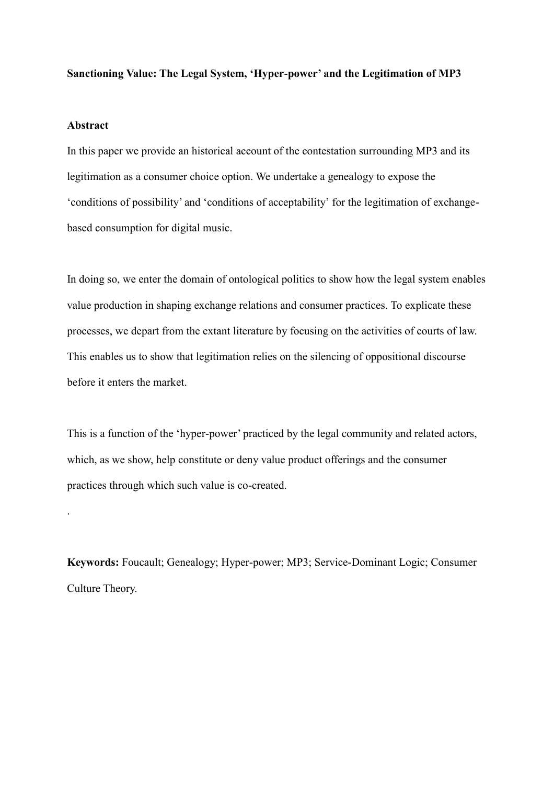#### **Sanctioning Value: The Legal System, 'Hyper-power' and the Legitimation of MP3**

#### **Abstract**

.

In this paper we provide an historical account of the contestation surrounding MP3 and its legitimation as a consumer choice option. We undertake a genealogy to expose the 'conditions of possibility' and 'conditions of acceptability' for the legitimation of exchangebased consumption for digital music.

In doing so, we enter the domain of ontological politics to show how the legal system enables value production in shaping exchange relations and consumer practices. To explicate these processes, we depart from the extant literature by focusing on the activities of courts of law. This enables us to show that legitimation relies on the silencing of oppositional discourse before it enters the market.

This is a function of the 'hyper-power' practiced by the legal community and related actors, which, as we show, help constitute or deny value product offerings and the consumer practices through which such value is co-created.

**Keywords:** Foucault; Genealogy; Hyper-power; MP3; Service-Dominant Logic; Consumer Culture Theory.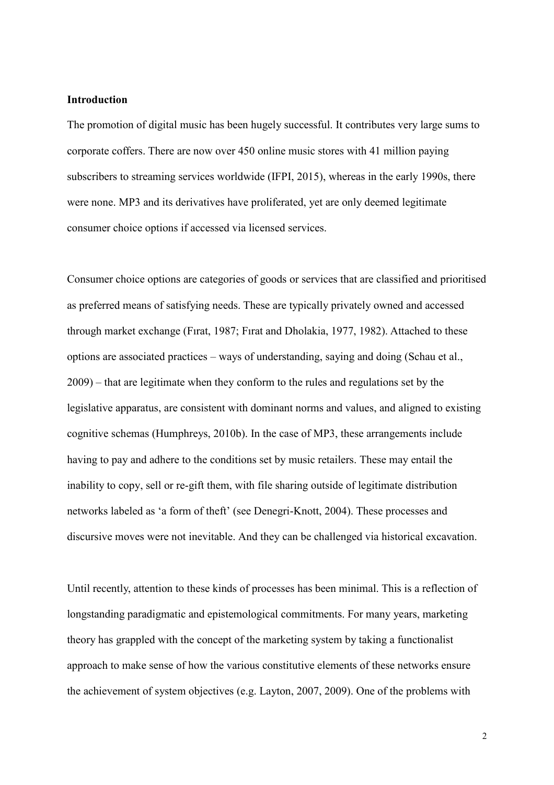### **Introduction**

The promotion of digital music has been hugely successful. It contributes very large sums to corporate coffers. There are now over 450 online music stores with 41 million paying subscribers to streaming services worldwide (IFPI, 2015), whereas in the early 1990s, there were none. MP3 and its derivatives have proliferated, yet are only deemed legitimate consumer choice options if accessed via licensed services.

Consumer choice options are categories of goods or services that are classified and prioritised as preferred means of satisfying needs. These are typically privately owned and accessed through market exchange (Fırat, 1987; Fırat and Dholakia, 1977, 1982). Attached to these options are associated practices – ways of understanding, saying and doing (Schau et al., 2009) – that are legitimate when they conform to the rules and regulations set by the legislative apparatus, are consistent with dominant norms and values, and aligned to existing cognitive schemas (Humphreys, 2010b). In the case of MP3, these arrangements include having to pay and adhere to the conditions set by music retailers. These may entail the inability to copy, sell or re-gift them, with file sharing outside of legitimate distribution networks labeled as 'a form of theft' (see Denegri-Knott, 2004). These processes and discursive moves were not inevitable. And they can be challenged via historical excavation.

Until recently, attention to these kinds of processes has been minimal. This is a reflection of longstanding paradigmatic and epistemological commitments. For many years, marketing theory has grappled with the concept of the marketing system by taking a functionalist approach to make sense of how the various constitutive elements of these networks ensure the achievement of system objectives (e.g. Layton, 2007, 2009). One of the problems with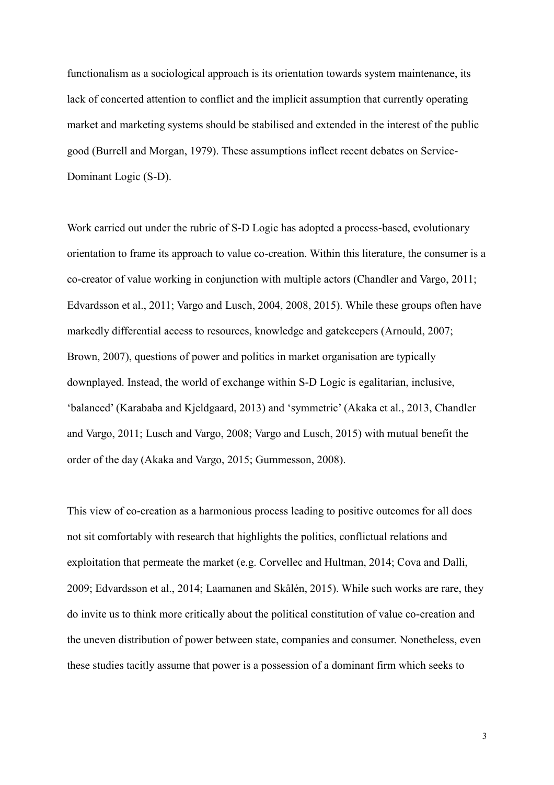functionalism as a sociological approach is its orientation towards system maintenance, its lack of concerted attention to conflict and the implicit assumption that currently operating market and marketing systems should be stabilised and extended in the interest of the public good (Burrell and Morgan, 1979). These assumptions inflect recent debates on Service-Dominant Logic (S-D).

Work carried out under the rubric of S-D Logic has adopted a process-based, evolutionary orientation to frame its approach to value co-creation. Within this literature, the consumer is a co-creator of value working in conjunction with multiple actors (Chandler and Vargo, 2011; Edvardsson et al., 2011; Vargo and Lusch, 2004, 2008, 2015). While these groups often have markedly differential access to resources, knowledge and gatekeepers (Arnould, 2007; Brown, 2007), questions of power and politics in market organisation are typically downplayed. Instead, the world of exchange within S-D Logic is egalitarian, inclusive, 'balanced' (Karababa and Kjeldgaard, 2013) and 'symmetric' (Akaka et al., 2013, Chandler and Vargo, 2011; Lusch and Vargo, 2008; Vargo and Lusch, 2015) with mutual benefit the order of the day (Akaka and Vargo, 2015; Gummesson, 2008).

This view of co-creation as a harmonious process leading to positive outcomes for all does not sit comfortably with research that highlights the politics, conflictual relations and exploitation that permeate the market (e.g. Corvellec and Hultman, 2014; Cova and Dalli, 2009; Edvardsson et al., 2014; Laamanen and Skålén, 2015). While such works are rare, they do invite us to think more critically about the political constitution of value co-creation and the uneven distribution of power between state, companies and consumer. Nonetheless, even these studies tacitly assume that power is a possession of a dominant firm which seeks to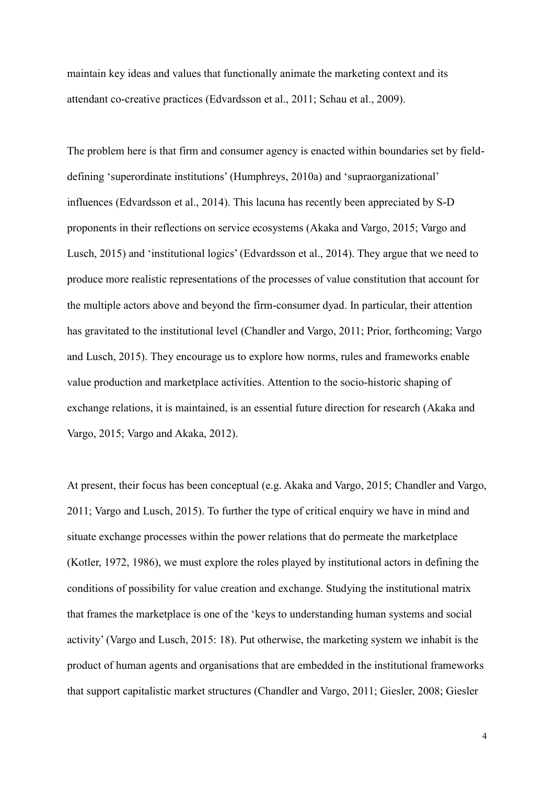maintain key ideas and values that functionally animate the marketing context and its attendant co-creative practices (Edvardsson et al., 2011; Schau et al., 2009).

The problem here is that firm and consumer agency is enacted within boundaries set by fielddefining 'superordinate institutions' (Humphreys, 2010a) and 'supraorganizational' influences (Edvardsson et al., 2014). This lacuna has recently been appreciated by S-D proponents in their reflections on service ecosystems (Akaka and Vargo, 2015; Vargo and Lusch, 2015) and 'institutional logics' (Edvardsson et al., 2014). They argue that we need to produce more realistic representations of the processes of value constitution that account for the multiple actors above and beyond the firm-consumer dyad. In particular, their attention has gravitated to the institutional level (Chandler and Vargo, 2011; Prior, forthcoming; Vargo and Lusch, 2015). They encourage us to explore how norms, rules and frameworks enable value production and marketplace activities. Attention to the socio-historic shaping of exchange relations, it is maintained, is an essential future direction for research (Akaka and Vargo, 2015; Vargo and Akaka, 2012).

At present, their focus has been conceptual (e.g. Akaka and Vargo, 2015; Chandler and Vargo, 2011; Vargo and Lusch, 2015). To further the type of critical enquiry we have in mind and situate exchange processes within the power relations that do permeate the marketplace (Kotler, 1972, 1986), we must explore the roles played by institutional actors in defining the conditions of possibility for value creation and exchange. Studying the institutional matrix that frames the marketplace is one of the 'keys to understanding human systems and social activity' (Vargo and Lusch, 2015: 18). Put otherwise, the marketing system we inhabit is the product of human agents and organisations that are embedded in the institutional frameworks that support capitalistic market structures (Chandler and Vargo, 2011; Giesler, 2008; Giesler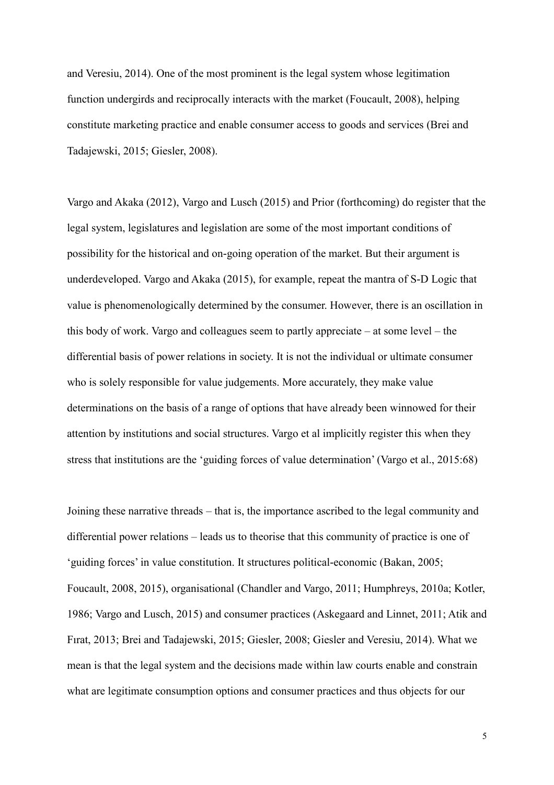and Veresiu, 2014). One of the most prominent is the legal system whose legitimation function undergirds and reciprocally interacts with the market (Foucault, 2008), helping constitute marketing practice and enable consumer access to goods and services (Brei and Tadajewski, 2015; Giesler, 2008).

Vargo and Akaka (2012), Vargo and Lusch (2015) and Prior (forthcoming) do register that the legal system, legislatures and legislation are some of the most important conditions of possibility for the historical and on-going operation of the market. But their argument is underdeveloped. Vargo and Akaka (2015), for example, repeat the mantra of S-D Logic that value is phenomenologically determined by the consumer. However, there is an oscillation in this body of work. Vargo and colleagues seem to partly appreciate – at some level – the differential basis of power relations in society. It is not the individual or ultimate consumer who is solely responsible for value judgements. More accurately, they make value determinations on the basis of a range of options that have already been winnowed for their attention by institutions and social structures. Vargo et al implicitly register this when they stress that institutions are the 'guiding forces of value determination' (Vargo et al., 2015:68)

Joining these narrative threads – that is, the importance ascribed to the legal community and differential power relations – leads us to theorise that this community of practice is one of 'guiding forces' in value constitution. It structures political-economic (Bakan, 2005; Foucault, 2008, 2015), organisational (Chandler and Vargo, 2011; Humphreys, 2010a; Kotler, 1986; Vargo and Lusch, 2015) and consumer practices (Askegaard and Linnet, 2011; Atik and Fırat, 2013; Brei and Tadajewski, 2015; Giesler, 2008; Giesler and Veresiu, 2014). What we mean is that the legal system and the decisions made within law courts enable and constrain what are legitimate consumption options and consumer practices and thus objects for our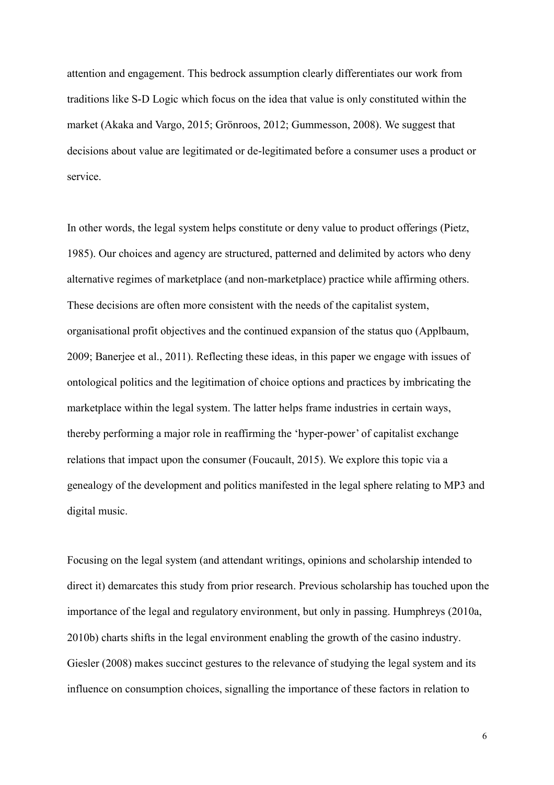attention and engagement. This bedrock assumption clearly differentiates our work from traditions like S-D Logic which focus on the idea that value is only constituted within the market (Akaka and Vargo, 2015; Grönroos, 2012; Gummesson, 2008). We suggest that decisions about value are legitimated or de-legitimated before a consumer uses a product or service.

In other words, the legal system helps constitute or deny value to product offerings (Pietz, 1985). Our choices and agency are structured, patterned and delimited by actors who deny alternative regimes of marketplace (and non-marketplace) practice while affirming others. These decisions are often more consistent with the needs of the capitalist system, organisational profit objectives and the continued expansion of the status quo (Applbaum, 2009; Banerjee et al., 2011). Reflecting these ideas, in this paper we engage with issues of ontological politics and the legitimation of choice options and practices by imbricating the marketplace within the legal system. The latter helps frame industries in certain ways, thereby performing a major role in reaffirming the 'hyper-power' of capitalist exchange relations that impact upon the consumer (Foucault, 2015). We explore this topic via a genealogy of the development and politics manifested in the legal sphere relating to MP3 and digital music.

Focusing on the legal system (and attendant writings, opinions and scholarship intended to direct it) demarcates this study from prior research. Previous scholarship has touched upon the importance of the legal and regulatory environment, but only in passing. Humphreys (2010a, 2010b) charts shifts in the legal environment enabling the growth of the casino industry. Giesler (2008) makes succinct gestures to the relevance of studying the legal system and its influence on consumption choices, signalling the importance of these factors in relation to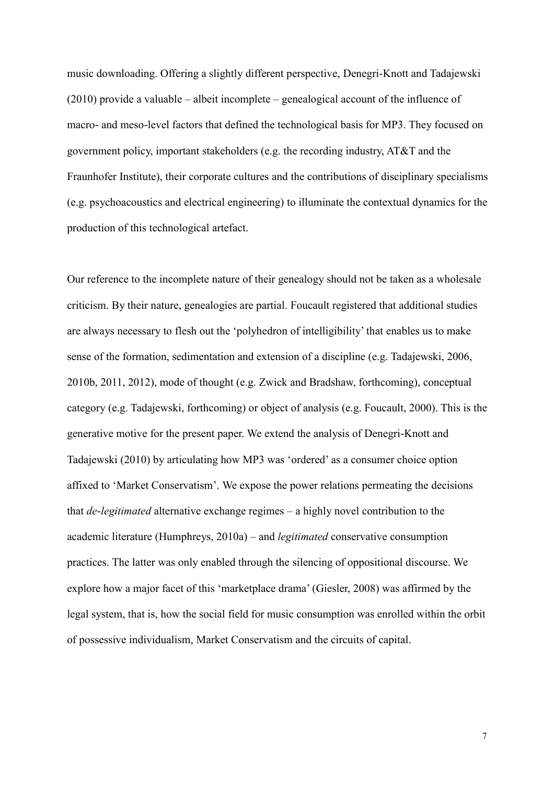music downloading. Offering a slightly different perspective, Denegri-Knott and Tadajewski  $(2010)$  provide a valuable – albeit incomplete – genealogical account of the influence of macro- and meso-level factors that defined the technological basis for MP3. They focused on government policy, important stakeholders (e.g. the recording industry, AT&T and the Fraunhofer Institute), their corporate cultures and the contributions of disciplinary specialisms (e.g. psychoacoustics and electrical engineering) to illuminate the contextual dynamics for the production of this technological artefact.

Our reference to the incomplete nature of their genealogy should not be taken as a wholesale criticism. By their nature, genealogies are partial. Foucault registered that additional studies are always necessary to flesh out the 'polyhedron of intelligibility' that enables us to make sense of the formation, sedimentation and extension of a discipline (e.g. Tadajewski, 2006, 2010b, 2011, 2012), mode of thought (e.g. Zwick and Bradshaw, forthcoming), conceptual category (e.g. Tadajewski, forthcoming) or object of analysis (e.g. Foucault, 2000). This is the generative motive for the present paper. We extend the analysis of Denegri-Knott and Tadajewski (2010) by articulating how MP3 was 'ordered' as a consumer choice option affixed to 'Market Conservatism'. We expose the power relations permeating the decisions that *de-legitimated* alternative exchange regimes – a highly novel contribution to the academic literature (Humphreys, 2010a) – and *legitimated* conservative consumption practices. The latter was only enabled through the silencing of oppositional discourse. We explore how a major facet of this 'marketplace drama' (Giesler, 2008) was affirmed by the legal system, that is, how the social field for music consumption was enrolled within the orbit of possessive individualism, Market Conservatism and the circuits of capital.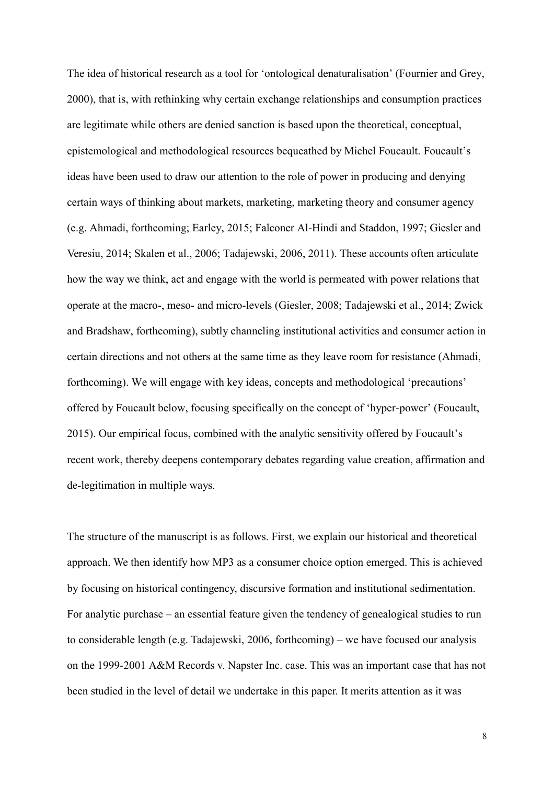The idea of historical research as a tool for 'ontological denaturalisation' (Fournier and Grey, 2000), that is, with rethinking why certain exchange relationships and consumption practices are legitimate while others are denied sanction is based upon the theoretical, conceptual, epistemological and methodological resources bequeathed by Michel Foucault. Foucault's ideas have been used to draw our attention to the role of power in producing and denying certain ways of thinking about markets, marketing, marketing theory and consumer agency (e.g. Ahmadi, forthcoming; Earley, 2015; Falconer Al-Hindi and Staddon, 1997; Giesler and Veresiu, 2014; Skalen et al., 2006; Tadajewski, 2006, 2011). These accounts often articulate how the way we think, act and engage with the world is permeated with power relations that operate at the macro-, meso- and micro-levels (Giesler, 2008; Tadajewski et al., 2014; Zwick and Bradshaw, forthcoming), subtly channeling institutional activities and consumer action in certain directions and not others at the same time as they leave room for resistance (Ahmadi, forthcoming). We will engage with key ideas, concepts and methodological 'precautions' offered by Foucault below, focusing specifically on the concept of 'hyper-power' (Foucault, 2015). Our empirical focus, combined with the analytic sensitivity offered by Foucault's recent work, thereby deepens contemporary debates regarding value creation, affirmation and de-legitimation in multiple ways.

The structure of the manuscript is as follows. First, we explain our historical and theoretical approach. We then identify how MP3 as a consumer choice option emerged. This is achieved by focusing on historical contingency, discursive formation and institutional sedimentation. For analytic purchase – an essential feature given the tendency of genealogical studies to run to considerable length (e.g. Tadajewski, 2006, forthcoming) – we have focused our analysis on the 1999-2001 A&M Records v. Napster Inc. case. This was an important case that has not been studied in the level of detail we undertake in this paper. It merits attention as it was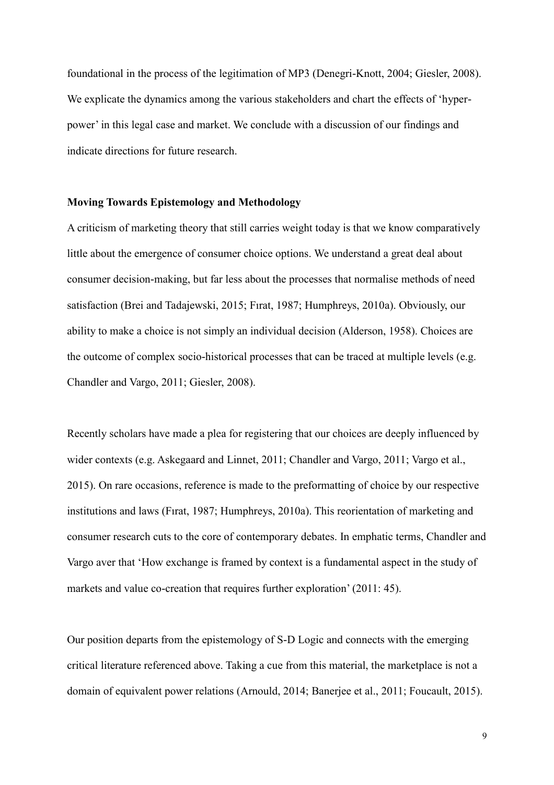foundational in the process of the legitimation of MP3 (Denegri-Knott, 2004; Giesler, 2008). We explicate the dynamics among the various stakeholders and chart the effects of 'hyperpower' in this legal case and market. We conclude with a discussion of our findings and indicate directions for future research.

### **Moving Towards Epistemology and Methodology**

A criticism of marketing theory that still carries weight today is that we know comparatively little about the emergence of consumer choice options. We understand a great deal about consumer decision-making, but far less about the processes that normalise methods of need satisfaction (Brei and Tadajewski, 2015; Fırat, 1987; Humphreys, 2010a). Obviously, our ability to make a choice is not simply an individual decision (Alderson, 1958). Choices are the outcome of complex socio-historical processes that can be traced at multiple levels (e.g. Chandler and Vargo, 2011; Giesler, 2008).

Recently scholars have made a plea for registering that our choices are deeply influenced by wider contexts (e.g. Askegaard and Linnet, 2011; Chandler and Vargo, 2011; Vargo et al., 2015). On rare occasions, reference is made to the preformatting of choice by our respective institutions and laws (Fırat, 1987; Humphreys, 2010a). This reorientation of marketing and consumer research cuts to the core of contemporary debates. In emphatic terms, Chandler and Vargo aver that 'How exchange is framed by context is a fundamental aspect in the study of markets and value co-creation that requires further exploration' (2011: 45).

Our position departs from the epistemology of S-D Logic and connects with the emerging critical literature referenced above. Taking a cue from this material, the marketplace is not a domain of equivalent power relations (Arnould, 2014; Banerjee et al., 2011; Foucault, 2015).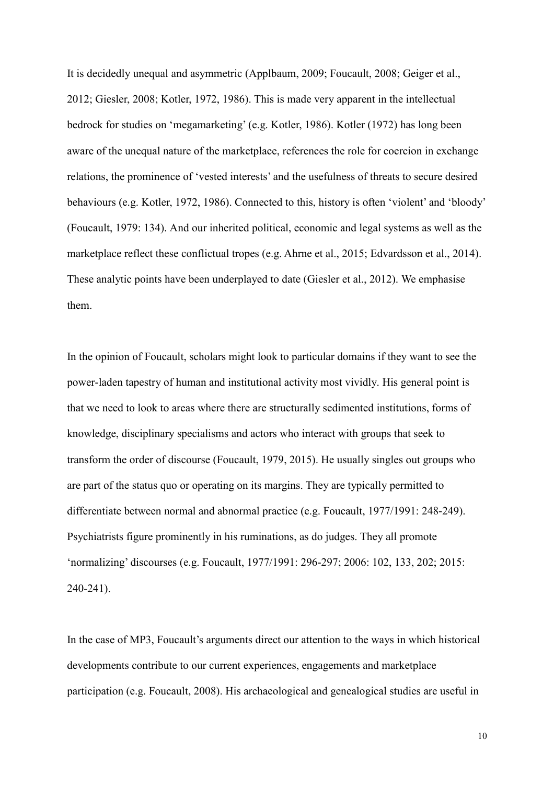It is decidedly unequal and asymmetric (Applbaum, 2009; Foucault, 2008; Geiger et al., 2012; Giesler, 2008; Kotler, 1972, 1986). This is made very apparent in the intellectual bedrock for studies on 'megamarketing' (e.g. Kotler, 1986). Kotler (1972) has long been aware of the unequal nature of the marketplace, references the role for coercion in exchange relations, the prominence of 'vested interests' and the usefulness of threats to secure desired behaviours (e.g. Kotler, 1972, 1986). Connected to this, history is often 'violent' and 'bloody' (Foucault, 1979: 134). And our inherited political, economic and legal systems as well as the marketplace reflect these conflictual tropes (e.g. Ahrne et al., 2015; Edvardsson et al., 2014). These analytic points have been underplayed to date (Giesler et al., 2012). We emphasise them.

In the opinion of Foucault, scholars might look to particular domains if they want to see the power-laden tapestry of human and institutional activity most vividly. His general point is that we need to look to areas where there are structurally sedimented institutions, forms of knowledge, disciplinary specialisms and actors who interact with groups that seek to transform the order of discourse (Foucault, 1979, 2015). He usually singles out groups who are part of the status quo or operating on its margins. They are typically permitted to differentiate between normal and abnormal practice (e.g. Foucault, 1977/1991: 248-249). Psychiatrists figure prominently in his ruminations, as do judges. They all promote 'normalizing' discourses (e.g. Foucault, 1977/1991: 296-297; 2006: 102, 133, 202; 2015: 240-241).

In the case of MP3, Foucault's arguments direct our attention to the ways in which historical developments contribute to our current experiences, engagements and marketplace participation (e.g. Foucault, 2008). His archaeological and genealogical studies are useful in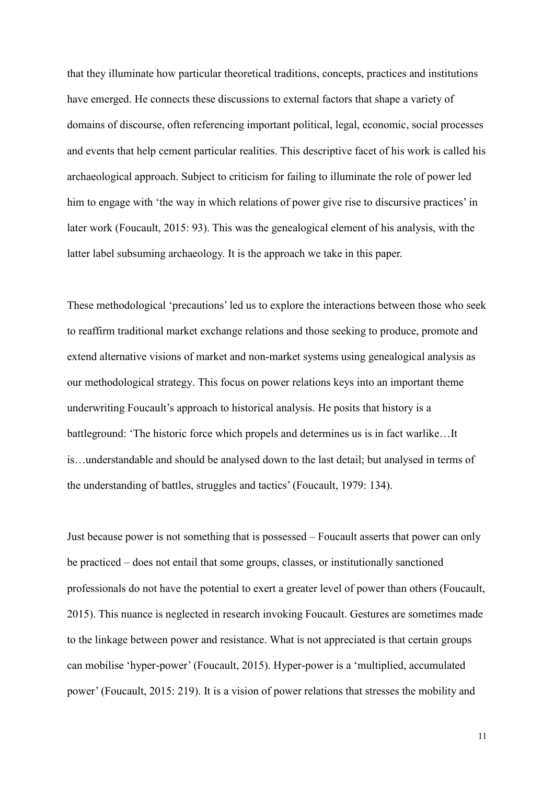that they illuminate how particular theoretical traditions, concepts, practices and institutions have emerged. He connects these discussions to external factors that shape a variety of domains of discourse, often referencing important political, legal, economic, social processes and events that help cement particular realities. This descriptive facet of his work is called his archaeological approach. Subject to criticism for failing to illuminate the role of power led him to engage with 'the way in which relations of power give rise to discursive practices' in later work (Foucault, 2015: 93). This was the genealogical element of his analysis, with the latter label subsuming archaeology. It is the approach we take in this paper.

These methodological 'precautions' led us to explore the interactions between those who seek to reaffirm traditional market exchange relations and those seeking to produce, promote and extend alternative visions of market and non-market systems using genealogical analysis as our methodological strategy. This focus on power relations keys into an important theme underwriting Foucault's approach to historical analysis. He posits that history is a battleground: 'The historic force which propels and determines us is in fact warlike…It is…understandable and should be analysed down to the last detail; but analysed in terms of the understanding of battles, struggles and tactics' (Foucault, 1979: 134).

Just because power is not something that is possessed – Foucault asserts that power can only be practiced – does not entail that some groups, classes, or institutionally sanctioned professionals do not have the potential to exert a greater level of power than others (Foucault, 2015). This nuance is neglected in research invoking Foucault. Gestures are sometimes made to the linkage between power and resistance. What is not appreciated is that certain groups can mobilise 'hyper-power' (Foucault, 2015). Hyper-power is a 'multiplied, accumulated power' (Foucault, 2015: 219). It is a vision of power relations that stresses the mobility and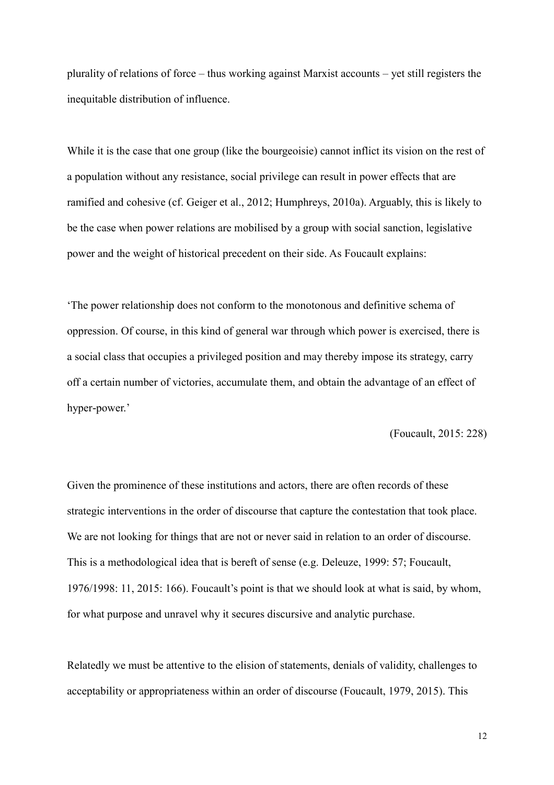plurality of relations of force – thus working against Marxist accounts – yet still registers the inequitable distribution of influence.

While it is the case that one group (like the bourgeoisie) cannot inflict its vision on the rest of a population without any resistance, social privilege can result in power effects that are ramified and cohesive (cf. Geiger et al., 2012; Humphreys, 2010a). Arguably, this is likely to be the case when power relations are mobilised by a group with social sanction, legislative power and the weight of historical precedent on their side. As Foucault explains:

'The power relationship does not conform to the monotonous and definitive schema of oppression. Of course, in this kind of general war through which power is exercised, there is a social class that occupies a privileged position and may thereby impose its strategy, carry off a certain number of victories, accumulate them, and obtain the advantage of an effect of hyper-power.'

(Foucault, 2015: 228)

Given the prominence of these institutions and actors, there are often records of these strategic interventions in the order of discourse that capture the contestation that took place. We are not looking for things that are not or never said in relation to an order of discourse. This is a methodological idea that is bereft of sense (e.g. Deleuze, 1999: 57; Foucault, 1976/1998: 11, 2015: 166). Foucault's point is that we should look at what is said, by whom, for what purpose and unravel why it secures discursive and analytic purchase.

Relatedly we must be attentive to the elision of statements, denials of validity, challenges to acceptability or appropriateness within an order of discourse (Foucault, 1979, 2015). This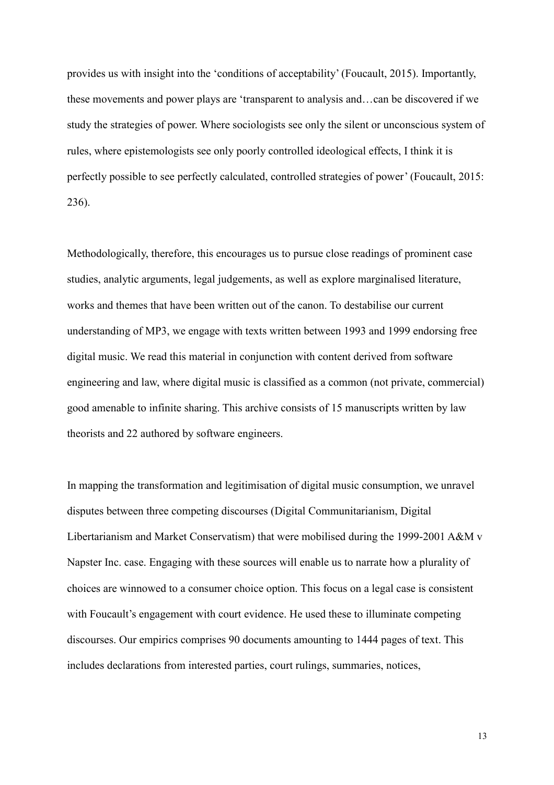provides us with insight into the 'conditions of acceptability' (Foucault, 2015). Importantly, these movements and power plays are 'transparent to analysis and…can be discovered if we study the strategies of power. Where sociologists see only the silent or unconscious system of rules, where epistemologists see only poorly controlled ideological effects, I think it is perfectly possible to see perfectly calculated, controlled strategies of power' (Foucault, 2015: 236).

Methodologically, therefore, this encourages us to pursue close readings of prominent case studies, analytic arguments, legal judgements, as well as explore marginalised literature, works and themes that have been written out of the canon. To destabilise our current understanding of MP3, we engage with texts written between 1993 and 1999 endorsing free digital music. We read this material in conjunction with content derived from software engineering and law, where digital music is classified as a common (not private, commercial) good amenable to infinite sharing. This archive consists of 15 manuscripts written by law theorists and 22 authored by software engineers.

In mapping the transformation and legitimisation of digital music consumption, we unravel disputes between three competing discourses (Digital Communitarianism, Digital Libertarianism and Market Conservatism) that were mobilised during the 1999-2001 A&M v Napster Inc. case. Engaging with these sources will enable us to narrate how a plurality of choices are winnowed to a consumer choice option. This focus on a legal case is consistent with Foucault's engagement with court evidence. He used these to illuminate competing discourses. Our empirics comprises 90 documents amounting to 1444 pages of text. This includes declarations from interested parties, court rulings, summaries, notices,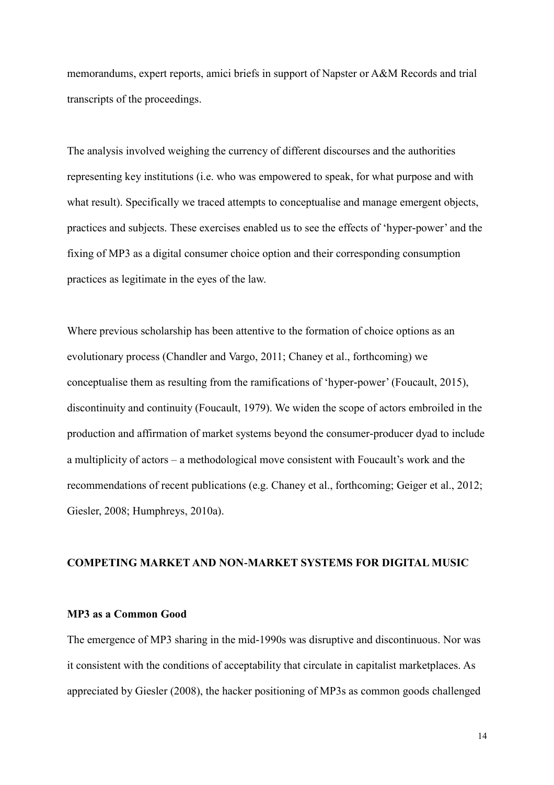memorandums, expert reports, amici briefs in support of Napster or A&M Records and trial transcripts of the proceedings.

The analysis involved weighing the currency of different discourses and the authorities representing key institutions (i.e. who was empowered to speak, for what purpose and with what result). Specifically we traced attempts to conceptualise and manage emergent objects, practices and subjects. These exercises enabled us to see the effects of 'hyper-power' and the fixing of MP3 as a digital consumer choice option and their corresponding consumption practices as legitimate in the eyes of the law.

Where previous scholarship has been attentive to the formation of choice options as an evolutionary process (Chandler and Vargo, 2011; Chaney et al., forthcoming) we conceptualise them as resulting from the ramifications of 'hyper-power' (Foucault, 2015), discontinuity and continuity (Foucault, 1979). We widen the scope of actors embroiled in the production and affirmation of market systems beyond the consumer-producer dyad to include a multiplicity of actors – a methodological move consistent with Foucault's work and the recommendations of recent publications (e.g. Chaney et al., forthcoming; Geiger et al., 2012; Giesler, 2008; Humphreys, 2010a).

### **COMPETING MARKET AND NON-MARKET SYSTEMS FOR DIGITAL MUSIC**

## **MP3 as a Common Good**

The emergence of MP3 sharing in the mid-1990s was disruptive and discontinuous. Nor was it consistent with the conditions of acceptability that circulate in capitalist marketplaces. As appreciated by Giesler (2008), the hacker positioning of MP3s as common goods challenged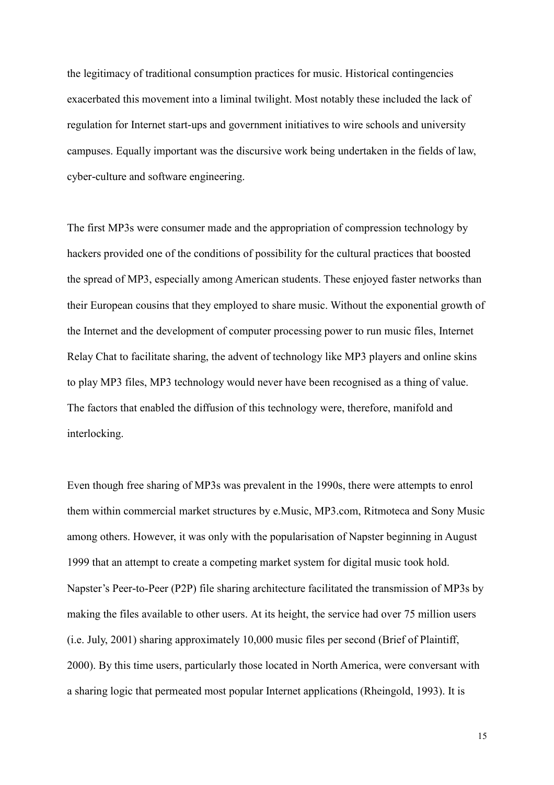the legitimacy of traditional consumption practices for music. Historical contingencies exacerbated this movement into a liminal twilight. Most notably these included the lack of regulation for Internet start-ups and government initiatives to wire schools and university campuses. Equally important was the discursive work being undertaken in the fields of law, cyber-culture and software engineering.

The first MP3s were consumer made and the appropriation of compression technology by hackers provided one of the conditions of possibility for the cultural practices that boosted the spread of MP3, especially among American students. These enjoyed faster networks than their European cousins that they employed to share music. Without the exponential growth of the Internet and the development of computer processing power to run music files, Internet Relay Chat to facilitate sharing, the advent of technology like MP3 players and online skins to play MP3 files, MP3 technology would never have been recognised as a thing of value. The factors that enabled the diffusion of this technology were, therefore, manifold and interlocking.

Even though free sharing of MP3s was prevalent in the 1990s, there were attempts to enrol them within commercial market structures by e.Music, MP3.com, Ritmoteca and Sony Music among others. However, it was only with the popularisation of Napster beginning in August 1999 that an attempt to create a competing market system for digital music took hold. Napster's Peer-to-Peer (P2P) file sharing architecture facilitated the transmission of MP3s by making the files available to other users. At its height, the service had over 75 million users (i.e. July, 2001) sharing approximately 10,000 music files per second (Brief of Plaintiff, 2000). By this time users, particularly those located in North America, were conversant with a sharing logic that permeated most popular Internet applications (Rheingold, 1993). It is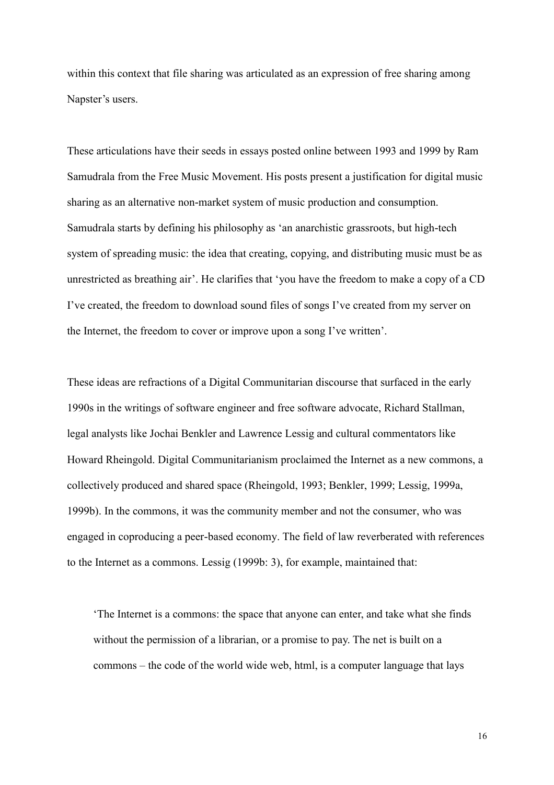within this context that file sharing was articulated as an expression of free sharing among Napster's users.

These articulations have their seeds in essays posted online between 1993 and 1999 by Ram Samudrala from the Free Music Movement. His posts present a justification for digital music sharing as an alternative non-market system of music production and consumption. Samudrala starts by defining his philosophy as 'an anarchistic grassroots, but high-tech system of spreading music: the idea that creating, copying, and distributing music must be as unrestricted as breathing air'. He clarifies that 'you have the freedom to make a copy of a CD I've created, the freedom to download sound files of songs I've created from my server on the Internet, the freedom to cover or improve upon a song I've written'.

These ideas are refractions of a Digital Communitarian discourse that surfaced in the early 1990s in the writings of software engineer and free software advocate, Richard Stallman, legal analysts like Jochai Benkler and Lawrence Lessig and cultural commentators like Howard Rheingold. Digital Communitarianism proclaimed the Internet as a new commons, a collectively produced and shared space (Rheingold, 1993; Benkler, 1999; Lessig, 1999a, 1999b). In the commons, it was the community member and not the consumer, who was engaged in coproducing a peer-based economy. The field of law reverberated with references to the Internet as a commons. Lessig (1999b: 3), for example, maintained that:

'The Internet is a commons: the space that anyone can enter, and take what she finds without the permission of a librarian, or a promise to pay. The net is built on a commons – the code of the world wide web, html, is a computer language that lays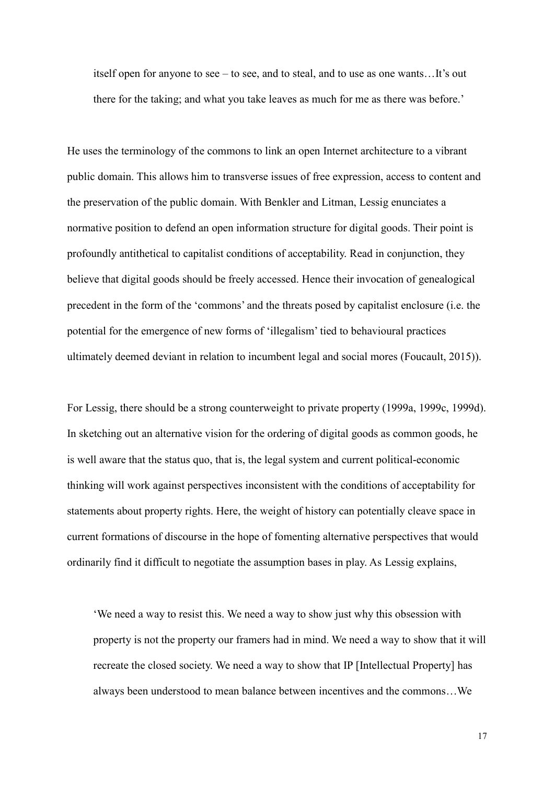itself open for anyone to see – to see, and to steal, and to use as one wants…It's out there for the taking; and what you take leaves as much for me as there was before.'

He uses the terminology of the commons to link an open Internet architecture to a vibrant public domain. This allows him to transverse issues of free expression, access to content and the preservation of the public domain. With Benkler and Litman, Lessig enunciates a normative position to defend an open information structure for digital goods. Their point is profoundly antithetical to capitalist conditions of acceptability. Read in conjunction, they believe that digital goods should be freely accessed. Hence their invocation of genealogical precedent in the form of the 'commons' and the threats posed by capitalist enclosure (i.e. the potential for the emergence of new forms of 'illegalism' tied to behavioural practices ultimately deemed deviant in relation to incumbent legal and social mores (Foucault, 2015)).

For Lessig, there should be a strong counterweight to private property (1999a, 1999c, 1999d). In sketching out an alternative vision for the ordering of digital goods as common goods, he is well aware that the status quo, that is, the legal system and current political-economic thinking will work against perspectives inconsistent with the conditions of acceptability for statements about property rights. Here, the weight of history can potentially cleave space in current formations of discourse in the hope of fomenting alternative perspectives that would ordinarily find it difficult to negotiate the assumption bases in play. As Lessig explains,

'We need a way to resist this. We need a way to show just why this obsession with property is not the property our framers had in mind. We need a way to show that it will recreate the closed society. We need a way to show that IP [Intellectual Property] has always been understood to mean balance between incentives and the commons…We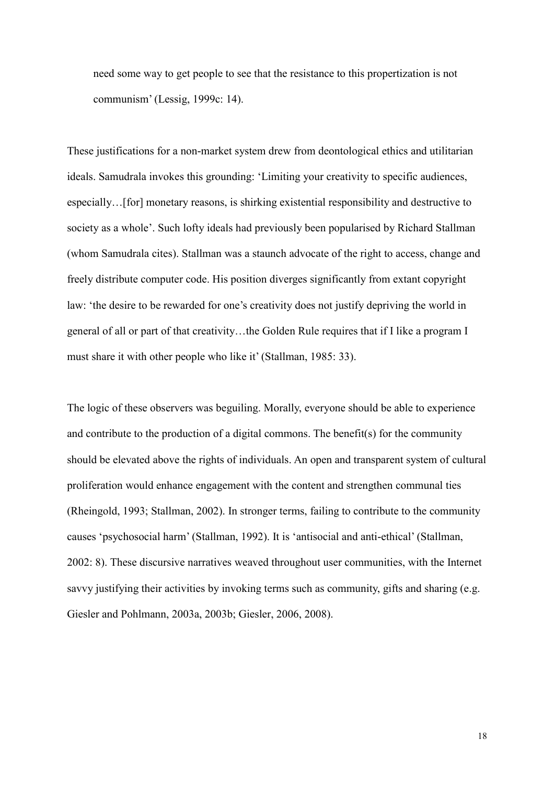need some way to get people to see that the resistance to this propertization is not communism' (Lessig, 1999c: 14).

These justifications for a non-market system drew from deontological ethics and utilitarian ideals. Samudrala invokes this grounding: 'Limiting your creativity to specific audiences, especially…[for] monetary reasons, is shirking existential responsibility and destructive to society as a whole'. Such lofty ideals had previously been popularised by Richard Stallman (whom Samudrala cites). Stallman was a staunch advocate of the right to access, change and freely distribute computer code. His position diverges significantly from extant copyright law: 'the desire to be rewarded for one's creativity does not justify depriving the world in general of all or part of that creativity…the Golden Rule requires that if I like a program I must share it with other people who like it' (Stallman, 1985: 33).

The logic of these observers was beguiling. Morally, everyone should be able to experience and contribute to the production of a digital commons. The benefit(s) for the community should be elevated above the rights of individuals. An open and transparent system of cultural proliferation would enhance engagement with the content and strengthen communal ties (Rheingold, 1993; Stallman, 2002). In stronger terms, failing to contribute to the community causes 'psychosocial harm' (Stallman, 1992). It is 'antisocial and anti-ethical' (Stallman, 2002: 8). These discursive narratives weaved throughout user communities, with the Internet savvy justifying their activities by invoking terms such as community, gifts and sharing (e.g. Giesler and Pohlmann, 2003a, 2003b; Giesler, 2006, 2008).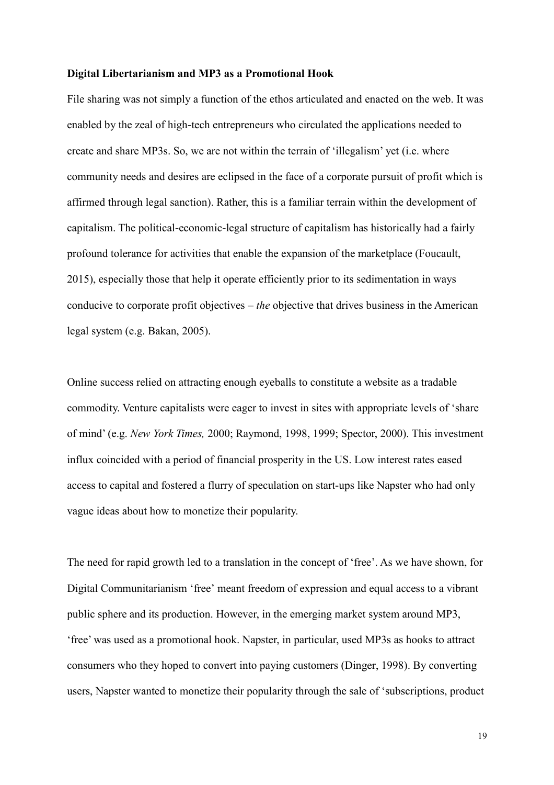#### **Digital Libertarianism and MP3 as a Promotional Hook**

File sharing was not simply a function of the ethos articulated and enacted on the web. It was enabled by the zeal of high-tech entrepreneurs who circulated the applications needed to create and share MP3s. So, we are not within the terrain of 'illegalism' yet (i.e. where community needs and desires are eclipsed in the face of a corporate pursuit of profit which is affirmed through legal sanction). Rather, this is a familiar terrain within the development of capitalism. The political-economic-legal structure of capitalism has historically had a fairly profound tolerance for activities that enable the expansion of the marketplace (Foucault, 2015), especially those that help it operate efficiently prior to its sedimentation in ways conducive to corporate profit objectives – *the* objective that drives business in the American legal system (e.g. Bakan, 2005).

Online success relied on attracting enough eyeballs to constitute a website as a tradable commodity. Venture capitalists were eager to invest in sites with appropriate levels of 'share of mind' (e.g. *New York Times,* 2000; Raymond, 1998, 1999; Spector, 2000). This investment influx coincided with a period of financial prosperity in the US. Low interest rates eased access to capital and fostered a flurry of speculation on start-ups like Napster who had only vague ideas about how to monetize their popularity.

The need for rapid growth led to a translation in the concept of 'free'. As we have shown, for Digital Communitarianism 'free' meant freedom of expression and equal access to a vibrant public sphere and its production. However, in the emerging market system around MP3, 'free' was used as a promotional hook. Napster, in particular, used MP3s as hooks to attract consumers who they hoped to convert into paying customers (Dinger, 1998). By converting users, Napster wanted to monetize their popularity through the sale of 'subscriptions, product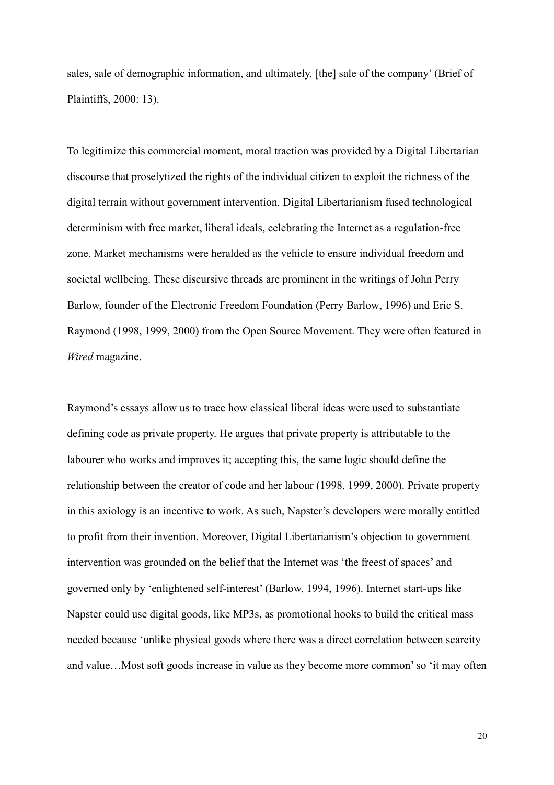sales, sale of demographic information, and ultimately, [the] sale of the company' (Brief of Plaintiffs, 2000: 13).

To legitimize this commercial moment, moral traction was provided by a Digital Libertarian discourse that proselytized the rights of the individual citizen to exploit the richness of the digital terrain without government intervention. Digital Libertarianism fused technological determinism with free market, liberal ideals, celebrating the Internet as a regulation-free zone. Market mechanisms were heralded as the vehicle to ensure individual freedom and societal wellbeing. These discursive threads are prominent in the writings of John Perry Barlow, founder of the Electronic Freedom Foundation (Perry Barlow, 1996) and Eric S. Raymond (1998, 1999, 2000) from the Open Source Movement. They were often featured in *Wired* magazine.

Raymond's essays allow us to trace how classical liberal ideas were used to substantiate defining code as private property. He argues that private property is attributable to the labourer who works and improves it; accepting this, the same logic should define the relationship between the creator of code and her labour (1998, 1999, 2000). Private property in this axiology is an incentive to work. As such, Napster's developers were morally entitled to profit from their invention. Moreover, Digital Libertarianism's objection to government intervention was grounded on the belief that the Internet was 'the freest of spaces' and governed only by 'enlightened self-interest' (Barlow, 1994, 1996). Internet start-ups like Napster could use digital goods, like MP3s, as promotional hooks to build the critical mass needed because 'unlike physical goods where there was a direct correlation between scarcity and value…Most soft goods increase in value as they become more common'so 'it may often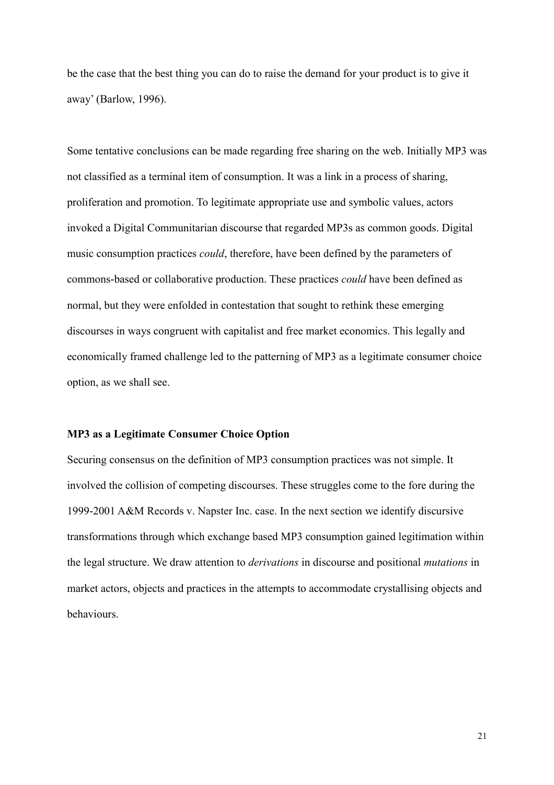be the case that the best thing you can do to raise the demand for your product is to give it away' (Barlow, 1996).

Some tentative conclusions can be made regarding free sharing on the web. Initially MP3 was not classified as a terminal item of consumption. It was a link in a process of sharing, proliferation and promotion. To legitimate appropriate use and symbolic values, actors invoked a Digital Communitarian discourse that regarded MP3s as common goods. Digital music consumption practices *could*, therefore, have been defined by the parameters of commons-based or collaborative production. These practices *could* have been defined as normal, but they were enfolded in contestation that sought to rethink these emerging discourses in ways congruent with capitalist and free market economics. This legally and economically framed challenge led to the patterning of MP3 as a legitimate consumer choice option, as we shall see.

#### **MP3 as a Legitimate Consumer Choice Option**

Securing consensus on the definition of MP3 consumption practices was not simple. It involved the collision of competing discourses. These struggles come to the fore during the 1999-2001 A&M Records v. Napster Inc. case. In the next section we identify discursive transformations through which exchange based MP3 consumption gained legitimation within the legal structure. We draw attention to *derivations* in discourse and positional *mutations* in market actors, objects and practices in the attempts to accommodate crystallising objects and behaviours.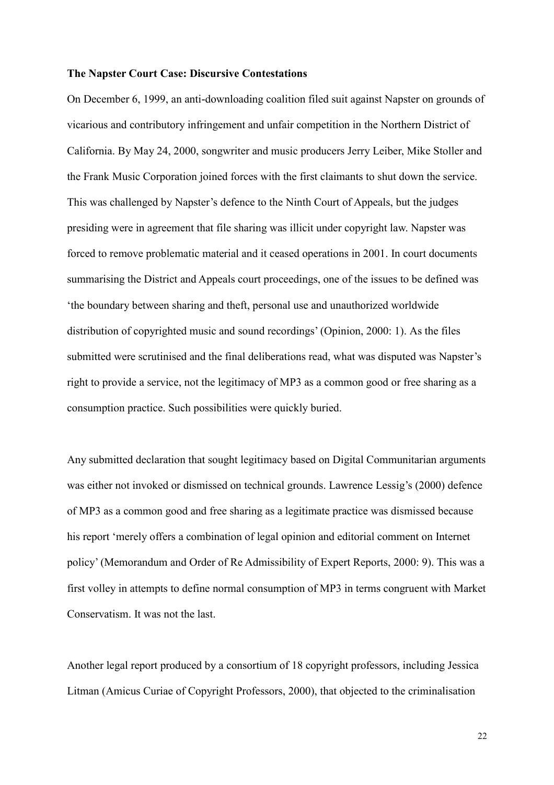#### **The Napster Court Case: Discursive Contestations**

On December 6, 1999, an anti-downloading coalition filed suit against Napster on grounds of vicarious and contributory infringement and unfair competition in the Northern District of California. By May 24, 2000, songwriter and music producers Jerry Leiber, Mike Stoller and the Frank Music Corporation joined forces with the first claimants to shut down the service. This was challenged by Napster's defence to the Ninth Court of Appeals, but the judges presiding were in agreement that file sharing was illicit under copyright law. Napster was forced to remove problematic material and it ceased operations in 2001. In court documents summarising the District and Appeals court proceedings, one of the issues to be defined was 'the boundary between sharing and theft, personal use and unauthorized worldwide distribution of copyrighted music and sound recordings' (Opinion, 2000: 1). As the files submitted were scrutinised and the final deliberations read, what was disputed was Napster's right to provide a service, not the legitimacy of MP3 as a common good or free sharing as a consumption practice. Such possibilities were quickly buried.

Any submitted declaration that sought legitimacy based on Digital Communitarian arguments was either not invoked or dismissed on technical grounds. Lawrence Lessig's (2000) defence of MP3 as a common good and free sharing as a legitimate practice was dismissed because his report 'merely offers a combination of legal opinion and editorial comment on Internet policy' (Memorandum and Order of Re Admissibility of Expert Reports, 2000: 9). This was a first volley in attempts to define normal consumption of MP3 in terms congruent with Market Conservatism. It was not the last.

Another legal report produced by a consortium of 18 copyright professors, including Jessica Litman (Amicus Curiae of Copyright Professors, 2000), that objected to the criminalisation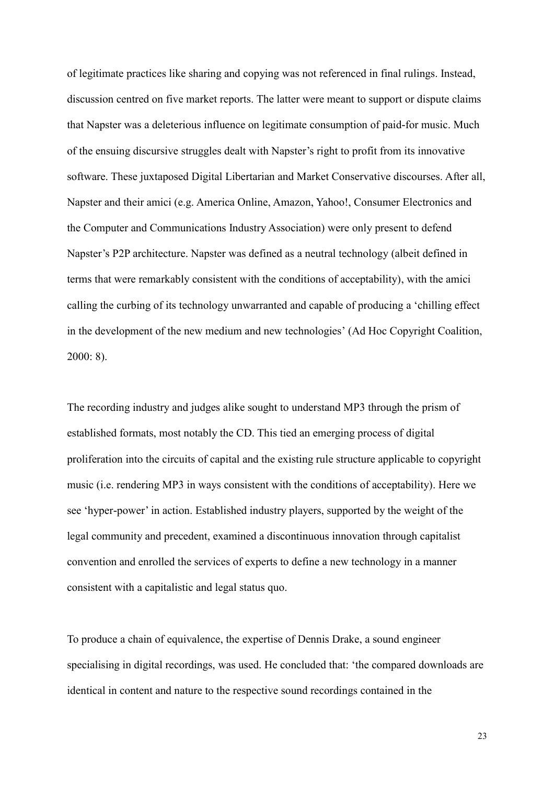of legitimate practices like sharing and copying was not referenced in final rulings. Instead, discussion centred on five market reports. The latter were meant to support or dispute claims that Napster was a deleterious influence on legitimate consumption of paid-for music. Much of the ensuing discursive struggles dealt with Napster's right to profit from its innovative software. These juxtaposed Digital Libertarian and Market Conservative discourses. After all, Napster and their amici (e.g. America Online, Amazon, Yahoo!, Consumer Electronics and the Computer and Communications Industry Association) were only present to defend Napster's P2P architecture. Napster was defined as a neutral technology (albeit defined in terms that were remarkably consistent with the conditions of acceptability), with the amici calling the curbing of its technology unwarranted and capable of producing a 'chilling effect in the development of the new medium and new technologies' (Ad Hoc Copyright Coalition, 2000: 8).

The recording industry and judges alike sought to understand MP3 through the prism of established formats, most notably the CD. This tied an emerging process of digital proliferation into the circuits of capital and the existing rule structure applicable to copyright music (i.e. rendering MP3 in ways consistent with the conditions of acceptability). Here we see 'hyper-power' in action. Established industry players, supported by the weight of the legal community and precedent, examined a discontinuous innovation through capitalist convention and enrolled the services of experts to define a new technology in a manner consistent with a capitalistic and legal status quo.

To produce a chain of equivalence, the expertise of Dennis Drake, a sound engineer specialising in digital recordings, was used. He concluded that: 'the compared downloads are identical in content and nature to the respective sound recordings contained in the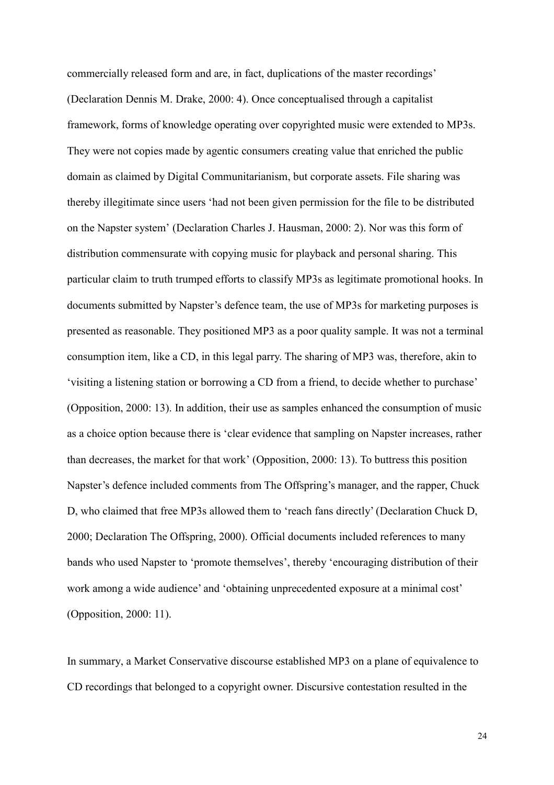commercially released form and are, in fact, duplications of the master recordings' (Declaration Dennis M. Drake, 2000: 4). Once conceptualised through a capitalist framework, forms of knowledge operating over copyrighted music were extended to MP3s. They were not copies made by agentic consumers creating value that enriched the public domain as claimed by Digital Communitarianism, but corporate assets. File sharing was thereby illegitimate since users 'had not been given permission for the file to be distributed on the Napster system' (Declaration Charles J. Hausman, 2000: 2). Nor was this form of distribution commensurate with copying music for playback and personal sharing. This particular claim to truth trumped efforts to classify MP3s as legitimate promotional hooks. In documents submitted by Napster's defence team, the use of MP3s for marketing purposes is presented as reasonable. They positioned MP3 as a poor quality sample. It was not a terminal consumption item, like a CD, in this legal parry. The sharing of MP3 was, therefore, akin to 'visiting a listening station or borrowing a CD from a friend, to decide whether to purchase' (Opposition, 2000: 13). In addition, their use as samples enhanced the consumption of music as a choice option because there is 'clear evidence that sampling on Napster increases, rather than decreases, the market for that work' (Opposition, 2000: 13). To buttress this position Napster's defence included comments from The Offspring's manager, and the rapper, Chuck D, who claimed that free MP3s allowed them to 'reach fans directly' (Declaration Chuck D, 2000; Declaration The Offspring, 2000). Official documents included references to many bands who used Napster to 'promote themselves', thereby 'encouraging distribution of their work among a wide audience' and 'obtaining unprecedented exposure at a minimal cost' (Opposition, 2000: 11).

In summary, a Market Conservative discourse established MP3 on a plane of equivalence to CD recordings that belonged to a copyright owner. Discursive contestation resulted in the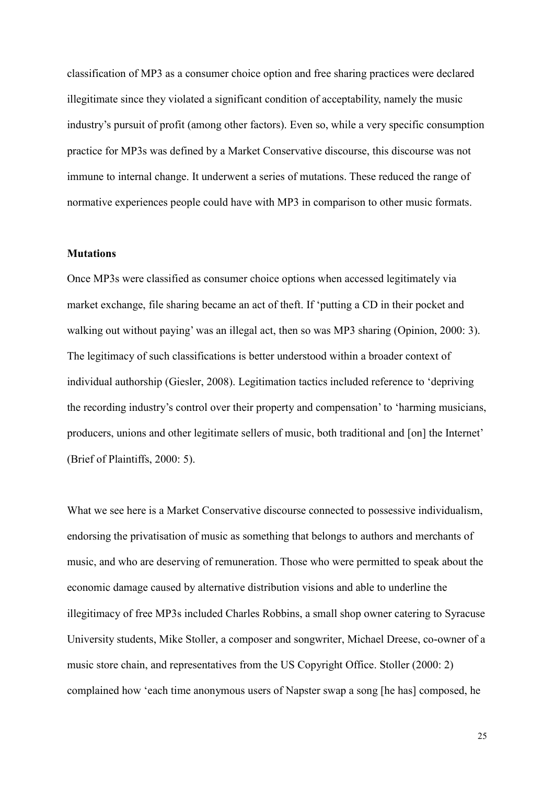classification of MP3 as a consumer choice option and free sharing practices were declared illegitimate since they violated a significant condition of acceptability, namely the music industry's pursuit of profit (among other factors). Even so, while a very specific consumption practice for MP3s was defined by a Market Conservative discourse, this discourse was not immune to internal change. It underwent a series of mutations. These reduced the range of normative experiences people could have with MP3 in comparison to other music formats.

## **Mutations**

Once MP3s were classified as consumer choice options when accessed legitimately via market exchange, file sharing became an act of theft. If 'putting a CD in their pocket and walking out without paying' was an illegal act, then so was MP3 sharing (Opinion, 2000: 3). The legitimacy of such classifications is better understood within a broader context of individual authorship (Giesler, 2008). Legitimation tactics included reference to 'depriving the recording industry's control over their property and compensation' to 'harming musicians, producers, unions and other legitimate sellers of music, both traditional and [on] the Internet' (Brief of Plaintiffs, 2000: 5).

What we see here is a Market Conservative discourse connected to possessive individualism, endorsing the privatisation of music as something that belongs to authors and merchants of music, and who are deserving of remuneration. Those who were permitted to speak about the economic damage caused by alternative distribution visions and able to underline the illegitimacy of free MP3s included Charles Robbins, a small shop owner catering to Syracuse University students, Mike Stoller, a composer and songwriter, Michael Dreese, co-owner of a music store chain, and representatives from the US Copyright Office. Stoller (2000: 2) complained how 'each time anonymous users of Napster swap a song [he has] composed, he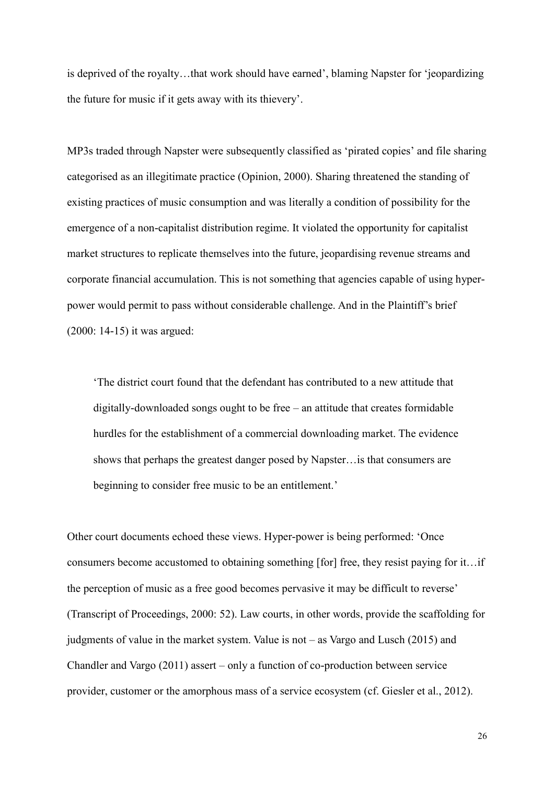is deprived of the royalty…that work should have earned', blaming Napster for 'jeopardizing the future for music if it gets away with its thievery'.

MP3s traded through Napster were subsequently classified as 'pirated copies' and file sharing categorised as an illegitimate practice (Opinion, 2000). Sharing threatened the standing of existing practices of music consumption and was literally a condition of possibility for the emergence of a non-capitalist distribution regime. It violated the opportunity for capitalist market structures to replicate themselves into the future, jeopardising revenue streams and corporate financial accumulation. This is not something that agencies capable of using hyperpower would permit to pass without considerable challenge. And in the Plaintiff's brief (2000: 14-15) it was argued:

'The district court found that the defendant has contributed to a new attitude that digitally-downloaded songs ought to be free – an attitude that creates formidable hurdles for the establishment of a commercial downloading market. The evidence shows that perhaps the greatest danger posed by Napster…is that consumers are beginning to consider free music to be an entitlement.'

Other court documents echoed these views. Hyper-power is being performed: 'Once consumers become accustomed to obtaining something [for] free, they resist paying for it…if the perception of music as a free good becomes pervasive it may be difficult to reverse' (Transcript of Proceedings, 2000: 52). Law courts, in other words, provide the scaffolding for judgments of value in the market system. Value is not – as Vargo and Lusch (2015) and Chandler and Vargo (2011) assert – only a function of co-production between service provider, customer or the amorphous mass of a service ecosystem (cf. Giesler et al., 2012).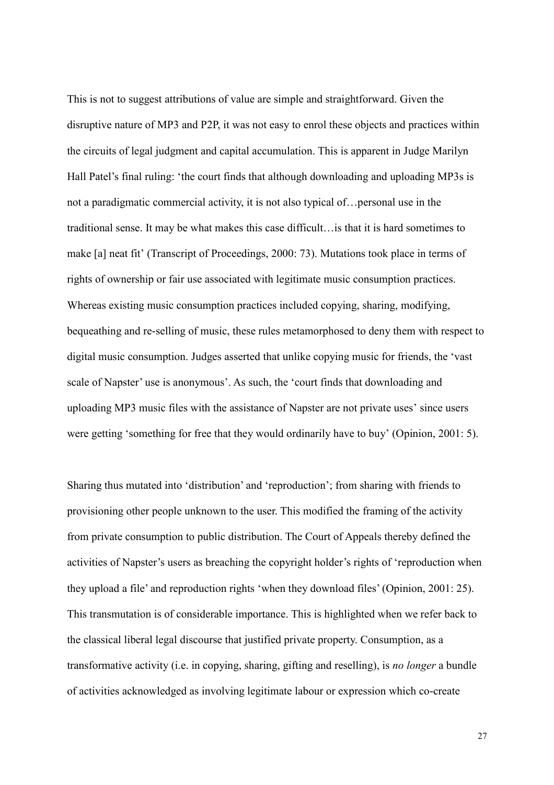This is not to suggest attributions of value are simple and straightforward. Given the disruptive nature of MP3 and P2P, it was not easy to enrol these objects and practices within the circuits of legal judgment and capital accumulation. This is apparent in Judge Marilyn Hall Patel's final ruling: 'the court finds that although downloading and uploading MP3s is not a paradigmatic commercial activity, it is not also typical of…personal use in the traditional sense. It may be what makes this case difficult…is that it is hard sometimes to make [a] neat fit' (Transcript of Proceedings, 2000: 73). Mutations took place in terms of rights of ownership or fair use associated with legitimate music consumption practices. Whereas existing music consumption practices included copying, sharing, modifying, bequeathing and re-selling of music, these rules metamorphosed to deny them with respect to digital music consumption. Judges asserted that unlike copying music for friends, the 'vast scale of Napster' use is anonymous'. As such, the 'court finds that downloading and uploading MP3 music files with the assistance of Napster are not private uses' since users were getting 'something for free that they would ordinarily have to buy' (Opinion, 2001: 5).

Sharing thus mutated into 'distribution' and 'reproduction'; from sharing with friends to provisioning other people unknown to the user. This modified the framing of the activity from private consumption to public distribution. The Court of Appeals thereby defined the activities of Napster's users as breaching the copyright holder's rights of 'reproduction when they upload a file' and reproduction rights 'when they download files' (Opinion, 2001: 25). This transmutation is of considerable importance. This is highlighted when we refer back to the classical liberal legal discourse that justified private property. Consumption, as a transformative activity (i.e. in copying, sharing, gifting and reselling), is *no longer* a bundle of activities acknowledged as involving legitimate labour or expression which co-create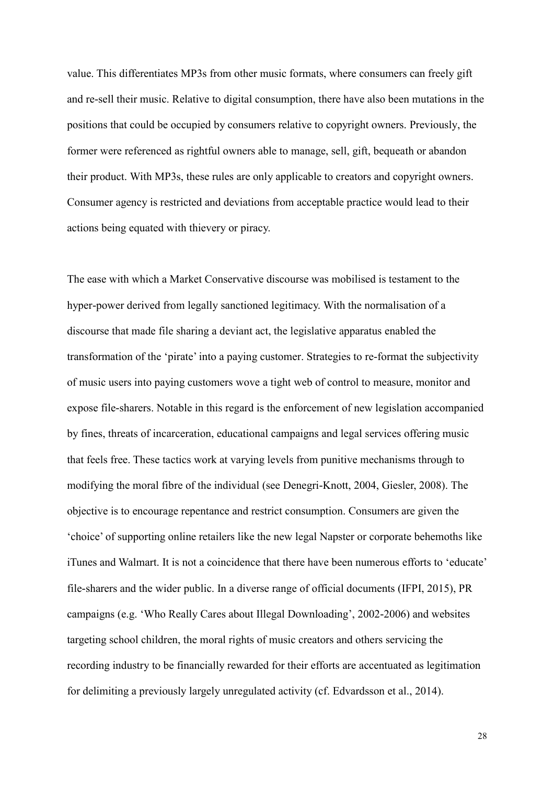value. This differentiates MP3s from other music formats, where consumers can freely gift and re-sell their music. Relative to digital consumption, there have also been mutations in the positions that could be occupied by consumers relative to copyright owners. Previously, the former were referenced as rightful owners able to manage, sell, gift, bequeath or abandon their product. With MP3s, these rules are only applicable to creators and copyright owners. Consumer agency is restricted and deviations from acceptable practice would lead to their actions being equated with thievery or piracy.

The ease with which a Market Conservative discourse was mobilised is testament to the hyper-power derived from legally sanctioned legitimacy. With the normalisation of a discourse that made file sharing a deviant act, the legislative apparatus enabled the transformation of the 'pirate' into a paying customer. Strategies to re-format the subjectivity of music users into paying customers wove a tight web of control to measure, monitor and expose file-sharers. Notable in this regard is the enforcement of new legislation accompanied by fines, threats of incarceration, educational campaigns and legal services offering music that feels free. These tactics work at varying levels from punitive mechanisms through to modifying the moral fibre of the individual (see Denegri-Knott, 2004, Giesler, 2008). The objective is to encourage repentance and restrict consumption. Consumers are given the 'choice' of supporting online retailers like the new legal Napster or corporate behemoths like iTunes and Walmart. It is not a coincidence that there have been numerous efforts to 'educate' file-sharers and the wider public. In a diverse range of official documents (IFPI, 2015), PR campaigns (e.g. 'Who Really Cares about Illegal Downloading', 2002-2006) and websites targeting school children, the moral rights of music creators and others servicing the recording industry to be financially rewarded for their efforts are accentuated as legitimation for delimiting a previously largely unregulated activity (cf. Edvardsson et al., 2014).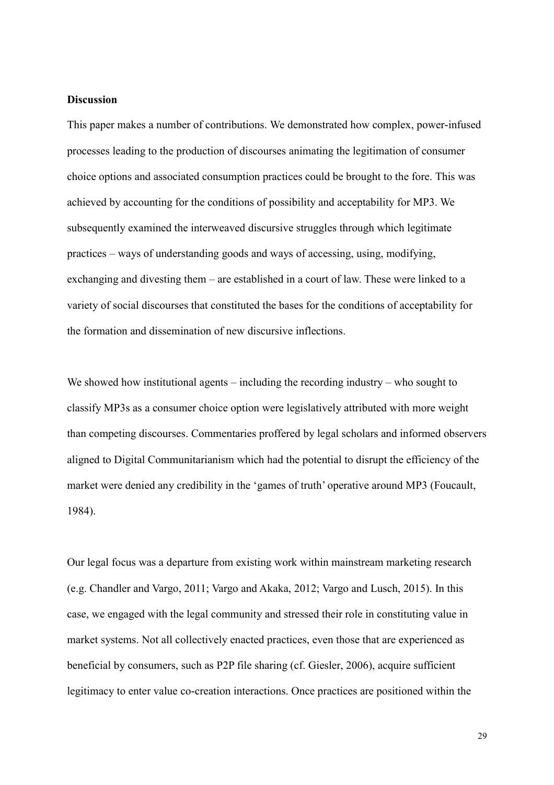#### **Discussion**

This paper makes a number of contributions. We demonstrated how complex, power-infused processes leading to the production of discourses animating the legitimation of consumer choice options and associated consumption practices could be brought to the fore. This was achieved by accounting for the conditions of possibility and acceptability for MP3. We subsequently examined the interweaved discursive struggles through which legitimate practices – ways of understanding goods and ways of accessing, using, modifying, exchanging and divesting them – are established in a court of law. These were linked to a variety of social discourses that constituted the bases for the conditions of acceptability for the formation and dissemination of new discursive inflections.

We showed how institutional agents – including the recording industry – who sought to classify MP3s as a consumer choice option were legislatively attributed with more weight than competing discourses. Commentaries proffered by legal scholars and informed observers aligned to Digital Communitarianism which had the potential to disrupt the efficiency of the market were denied any credibility in the 'games of truth' operative around MP3 (Foucault, 1984).

Our legal focus was a departure from existing work within mainstream marketing research (e.g. Chandler and Vargo, 2011; Vargo and Akaka, 2012; Vargo and Lusch, 2015). In this case, we engaged with the legal community and stressed their role in constituting value in market systems. Not all collectively enacted practices, even those that are experienced as beneficial by consumers, such as P2P file sharing (cf. Giesler, 2006), acquire sufficient legitimacy to enter value co-creation interactions. Once practices are positioned within the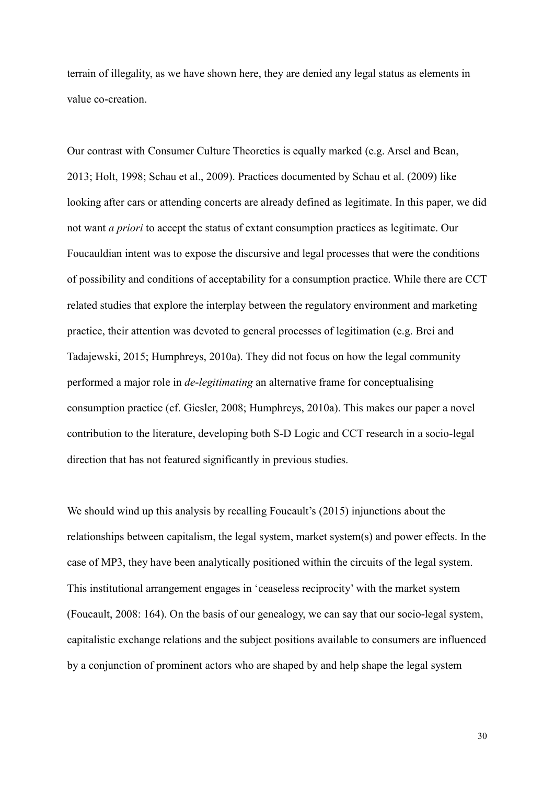terrain of illegality, as we have shown here, they are denied any legal status as elements in value co-creation.

Our contrast with Consumer Culture Theoretics is equally marked (e.g. Arsel and Bean, 2013; Holt, 1998; Schau et al., 2009). Practices documented by Schau et al. (2009) like looking after cars or attending concerts are already defined as legitimate. In this paper, we did not want *a priori* to accept the status of extant consumption practices as legitimate. Our Foucauldian intent was to expose the discursive and legal processes that were the conditions of possibility and conditions of acceptability for a consumption practice. While there are CCT related studies that explore the interplay between the regulatory environment and marketing practice, their attention was devoted to general processes of legitimation (e.g. Brei and Tadajewski, 2015; Humphreys, 2010a). They did not focus on how the legal community performed a major role in *de-legitimating* an alternative frame for conceptualising consumption practice (cf. Giesler, 2008; Humphreys, 2010a). This makes our paper a novel contribution to the literature, developing both S-D Logic and CCT research in a socio-legal direction that has not featured significantly in previous studies.

We should wind up this analysis by recalling Foucault's (2015) injunctions about the relationships between capitalism, the legal system, market system(s) and power effects. In the case of MP3, they have been analytically positioned within the circuits of the legal system. This institutional arrangement engages in 'ceaseless reciprocity' with the market system (Foucault, 2008: 164). On the basis of our genealogy, we can say that our socio-legal system, capitalistic exchange relations and the subject positions available to consumers are influenced by a conjunction of prominent actors who are shaped by and help shape the legal system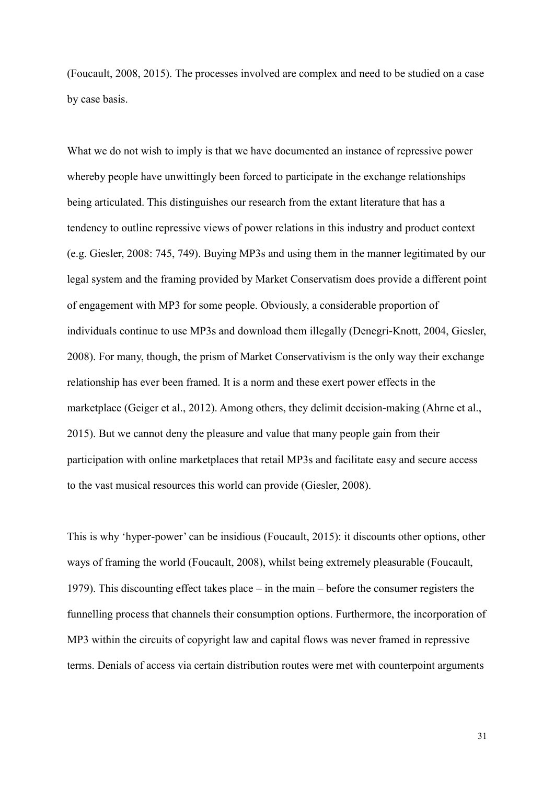(Foucault, 2008, 2015). The processes involved are complex and need to be studied on a case by case basis.

What we do not wish to imply is that we have documented an instance of repressive power whereby people have unwittingly been forced to participate in the exchange relationships being articulated. This distinguishes our research from the extant literature that has a tendency to outline repressive views of power relations in this industry and product context (e.g. Giesler, 2008: 745, 749). Buying MP3s and using them in the manner legitimated by our legal system and the framing provided by Market Conservatism does provide a different point of engagement with MP3 for some people. Obviously, a considerable proportion of individuals continue to use MP3s and download them illegally (Denegri-Knott, 2004, Giesler, 2008). For many, though, the prism of Market Conservativism is the only way their exchange relationship has ever been framed. It is a norm and these exert power effects in the marketplace (Geiger et al., 2012). Among others, they delimit decision-making (Ahrne et al., 2015). But we cannot deny the pleasure and value that many people gain from their participation with online marketplaces that retail MP3s and facilitate easy and secure access to the vast musical resources this world can provide (Giesler, 2008).

This is why 'hyper-power' can be insidious (Foucault, 2015): it discounts other options, other ways of framing the world (Foucault, 2008), whilst being extremely pleasurable (Foucault, 1979). This discounting effect takes place – in the main – before the consumer registers the funnelling process that channels their consumption options. Furthermore, the incorporation of MP3 within the circuits of copyright law and capital flows was never framed in repressive terms. Denials of access via certain distribution routes were met with counterpoint arguments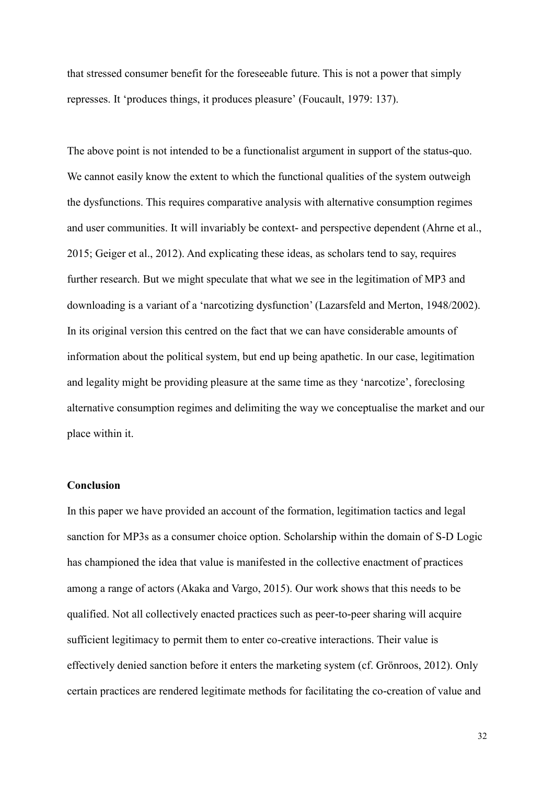that stressed consumer benefit for the foreseeable future. This is not a power that simply represses. It 'produces things, it produces pleasure' (Foucault, 1979: 137).

The above point is not intended to be a functionalist argument in support of the status-quo. We cannot easily know the extent to which the functional qualities of the system outweigh the dysfunctions. This requires comparative analysis with alternative consumption regimes and user communities. It will invariably be context- and perspective dependent (Ahrne et al., 2015; Geiger et al., 2012). And explicating these ideas, as scholars tend to say, requires further research. But we might speculate that what we see in the legitimation of MP3 and downloading is a variant of a 'narcotizing dysfunction' (Lazarsfeld and Merton, 1948/2002). In its original version this centred on the fact that we can have considerable amounts of information about the political system, but end up being apathetic. In our case, legitimation and legality might be providing pleasure at the same time as they 'narcotize', foreclosing alternative consumption regimes and delimiting the way we conceptualise the market and our place within it.

# **Conclusion**

In this paper we have provided an account of the formation, legitimation tactics and legal sanction for MP3s as a consumer choice option. Scholarship within the domain of S-D Logic has championed the idea that value is manifested in the collective enactment of practices among a range of actors (Akaka and Vargo, 2015). Our work shows that this needs to be qualified. Not all collectively enacted practices such as peer-to-peer sharing will acquire sufficient legitimacy to permit them to enter co-creative interactions. Their value is effectively denied sanction before it enters the marketing system (cf. Grönroos, 2012). Only certain practices are rendered legitimate methods for facilitating the co-creation of value and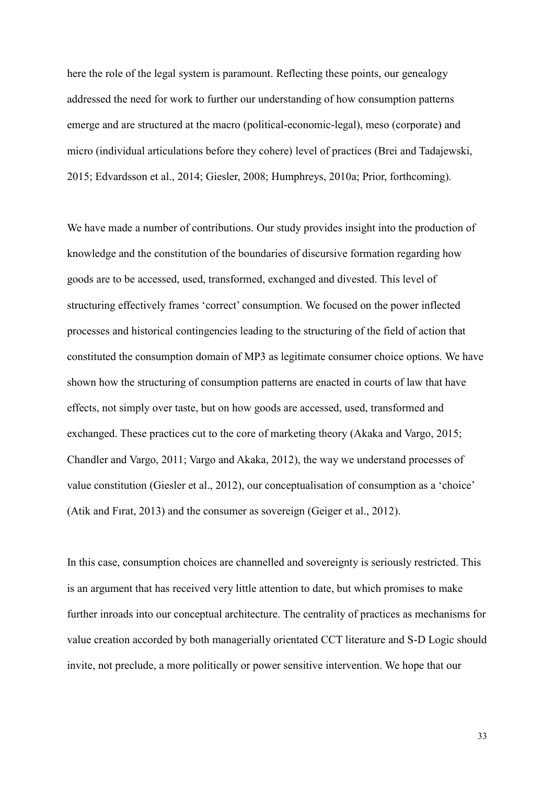here the role of the legal system is paramount. Reflecting these points, our genealogy addressed the need for work to further our understanding of how consumption patterns emerge and are structured at the macro (political-economic-legal), meso (corporate) and micro (individual articulations before they cohere) level of practices (Brei and Tadajewski, 2015; Edvardsson et al., 2014; Giesler, 2008; Humphreys, 2010a; Prior, forthcoming).

We have made a number of contributions. Our study provides insight into the production of knowledge and the constitution of the boundaries of discursive formation regarding how goods are to be accessed, used, transformed, exchanged and divested. This level of structuring effectively frames 'correct' consumption. We focused on the power inflected processes and historical contingencies leading to the structuring of the field of action that constituted the consumption domain of MP3 as legitimate consumer choice options. We have shown how the structuring of consumption patterns are enacted in courts of law that have effects, not simply over taste, but on how goods are accessed, used, transformed and exchanged. These practices cut to the core of marketing theory (Akaka and Vargo, 2015; Chandler and Vargo, 2011; Vargo and Akaka, 2012), the way we understand processes of value constitution (Giesler et al., 2012), our conceptualisation of consumption as a 'choice' (Atik and Fırat, 2013) and the consumer as sovereign (Geiger et al., 2012).

In this case, consumption choices are channelled and sovereignty is seriously restricted. This is an argument that has received very little attention to date, but which promises to make further inroads into our conceptual architecture. The centrality of practices as mechanisms for value creation accorded by both managerially orientated CCT literature and S-D Logic should invite, not preclude, a more politically or power sensitive intervention. We hope that our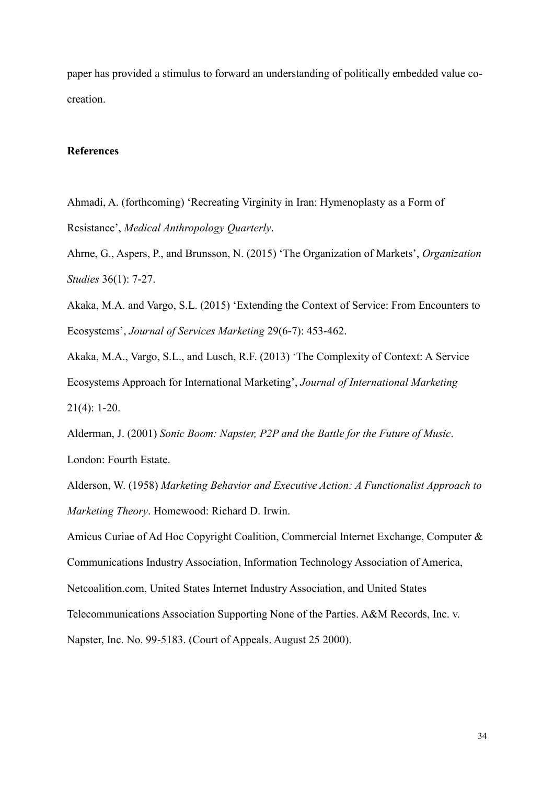paper has provided a stimulus to forward an understanding of politically embedded value cocreation.

## **References**

Ahmadi, A. (forthcoming) 'Recreating Virginity in Iran: Hymenoplasty as a Form of Resistance', *Medical Anthropology Quarterly*.

Ahrne, G., Aspers, P., and Brunsson, N. (2015) 'The Organization of Markets', *Organization Studies* 36(1): 7-27.

Akaka, M.A. and Vargo, S.L. (2015) 'Extending the Context of Service: From Encounters to Ecosystems', *Journal of Services Marketing* 29(6-7): 453-462.

Akaka, M.A., Vargo, S.L., and Lusch, R.F. (2013) 'The Complexity of Context: A Service Ecosystems Approach for International Marketing', *Journal of International Marketing* 21(4): 1-20.

Alderman, J. (2001) *Sonic Boom: Napster, P2P and the Battle for the Future of Music*. London: Fourth Estate.

Alderson, W. (1958) *Marketing Behavior and Executive Action: A Functionalist Approach to Marketing Theory*. Homewood: Richard D. Irwin.

Amicus Curiae of Ad Hoc Copyright Coalition, Commercial Internet Exchange, Computer & Communications Industry Association, Information Technology Association of America, Netcoalition.com, United States Internet Industry Association, and United States Telecommunications Association Supporting None of the Parties. A&M Records, Inc. v. Napster, Inc. No. 99-5183. (Court of Appeals. August 25 2000).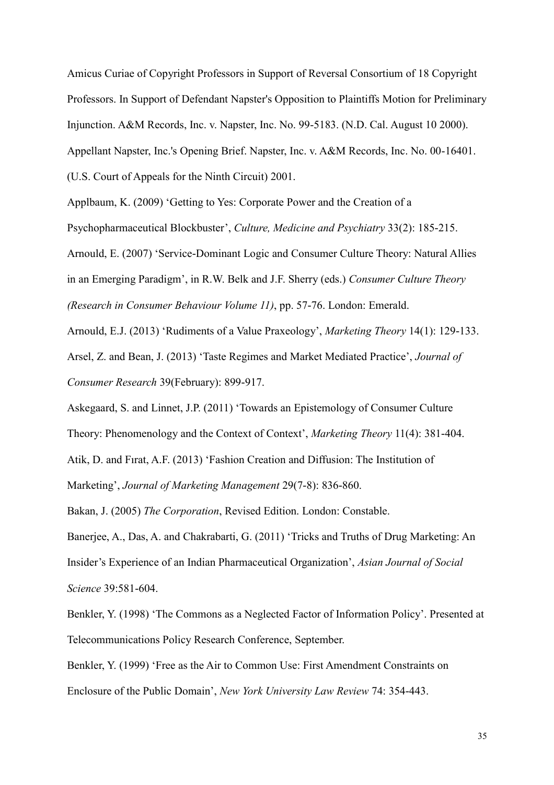Amicus Curiae of Copyright Professors in Support of Reversal Consortium of 18 Copyright Professors. In Support of Defendant Napster's Opposition to Plaintiffs Motion for Preliminary Injunction. A&M Records, Inc. v. Napster, Inc. No. 99-5183. (N.D. Cal. August 10 2000). Appellant Napster, Inc.'s Opening Brief. Napster, Inc. v. A&M Records, Inc. No. 00-16401. (U.S. Court of Appeals for the Ninth Circuit) 2001.

Applbaum, K. (2009) 'Getting to Yes: Corporate Power and the Creation of a Psychopharmaceutical Blockbuster', *Culture, Medicine and Psychiatry* 33(2): 185-215. Arnould, E. (2007) 'Service-Dominant Logic and Consumer Culture Theory: Natural Allies in an Emerging Paradigm', in R.W. Belk and J.F. Sherry (eds.) *Consumer Culture Theory (Research in Consumer Behaviour Volume 11)*, pp. 57-76. London: Emerald.

Arnould, E.J. (2013) 'Rudiments of a Value Praxeology', *Marketing Theory* 14(1): 129-133.

Arsel, Z. and Bean, J. (2013) 'Taste Regimes and Market Mediated Practice', *Journal of Consumer Research* 39(February): 899-917.

Askegaard, S. and Linnet, J.P. (2011) 'Towards an Epistemology of Consumer Culture

Theory: Phenomenology and the Context of Context', *Marketing Theory* 11(4): 381-404.

Atik, D. and Fırat, A.F. (2013) 'Fashion Creation and Diffusion: The Institution of

Marketing', *Journal of Marketing Management* 29(7-8): 836-860.

Bakan, J. (2005) *The Corporation*, Revised Edition. London: Constable.

Banerjee, A., Das, A. and Chakrabarti, G. (2011) 'Tricks and Truths of Drug Marketing: An Insider's Experience of an Indian Pharmaceutical Organization', *Asian Journal of Social Science* 39:581-604.

Benkler, Y. (1998) 'The Commons as a Neglected Factor of Information Policy'. Presented at Telecommunications Policy Research Conference, September.

Benkler, Y. (1999) 'Free as the Air to Common Use: First Amendment Constraints on Enclosure of the Public Domain', *New York University Law Review* 74: 354-443.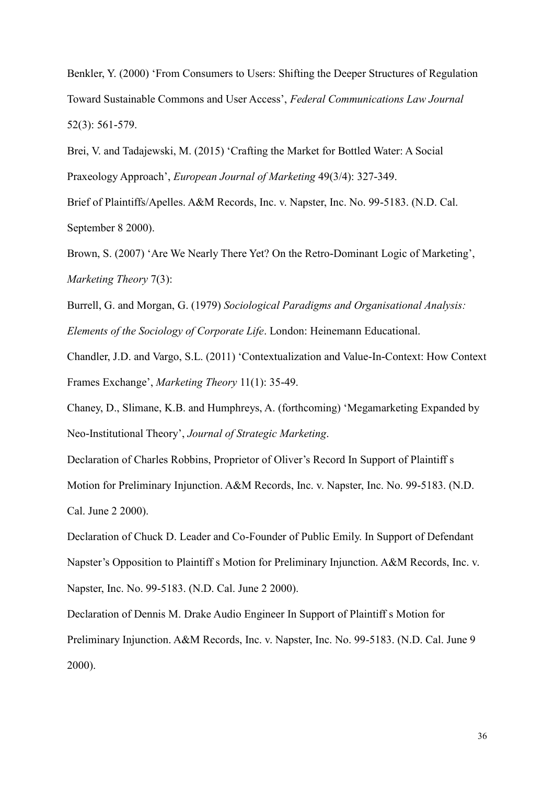Benkler, Y. (2000) 'From Consumers to Users: Shifting the Deeper Structures of Regulation Toward Sustainable Commons and User Access', *Federal Communications Law Journal* 52(3): 561-579.

Brei, V. and Tadajewski, M. (2015) 'Crafting the Market for Bottled Water: A Social Praxeology Approach', *European Journal of Marketing* 49(3/4): 327-349.

Brief of Plaintiffs/Apelles. A&M Records, Inc. v. Napster, Inc. No. 99-5183. (N.D. Cal. September 8 2000).

Brown, S. (2007) 'Are We Nearly There Yet? On the Retro-Dominant Logic of Marketing', *Marketing Theory* 7(3):

Burrell, G. and Morgan, G. (1979) *Sociological Paradigms and Organisational Analysis: Elements of the Sociology of Corporate Life*. London: Heinemann Educational.

Chandler, J.D. and Vargo, S.L. (2011) 'Contextualization and Value-In-Context: How Context Frames Exchange', *Marketing Theory* 11(1): 35-49.

Chaney, D., Slimane, K.B. and Humphreys, A. (forthcoming) 'Megamarketing Expanded by Neo-Institutional Theory', *Journal of Strategic Marketing*.

Declaration of Charles Robbins, Proprietor of Oliver's Record In Support of Plaintiff s Motion for Preliminary Injunction. A&M Records, Inc. v. Napster, Inc. No. 99-5183. (N.D. Cal. June 2 2000).

Declaration of Chuck D. Leader and Co-Founder of Public Emily. In Support of Defendant Napster's Opposition to Plaintiff s Motion for Preliminary Injunction. A&M Records, Inc. v. Napster, Inc. No. 99-5183. (N.D. Cal. June 2 2000).

Declaration of Dennis M. Drake Audio Engineer In Support of Plaintiff s Motion for Preliminary Injunction. A&M Records, Inc. v. Napster, Inc. No. 99-5183. (N.D. Cal. June 9 2000).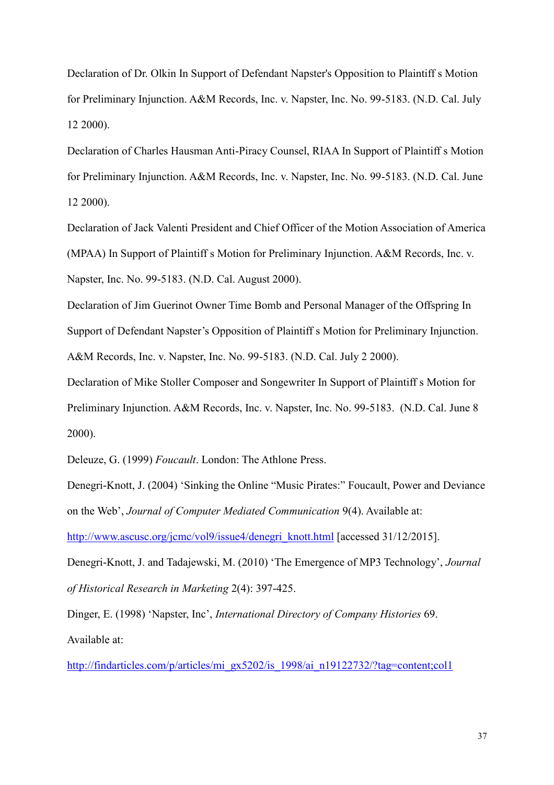Declaration of Dr. Olkin In Support of Defendant Napster's Opposition to Plaintiff s Motion for Preliminary Injunction. A&M Records, Inc. v. Napster, Inc. No. 99-5183. (N.D. Cal. July 12 2000).

Declaration of Charles Hausman Anti-Piracy Counsel, RIAA In Support of Plaintiff s Motion for Preliminary Injunction. A&M Records, Inc. v. Napster, Inc. No. 99-5183. (N.D. Cal. June 12 2000).

Declaration of Jack Valenti President and Chief Officer of the Motion Association of America (MPAA) In Support of Plaintiff s Motion for Preliminary Injunction. A&M Records, Inc. v. Napster, Inc. No. 99-5183. (N.D. Cal. August 2000).

Declaration of Jim Guerinot Owner Time Bomb and Personal Manager of the Offspring In Support of Defendant Napster's Opposition of Plaintiff s Motion for Preliminary Injunction. A&M Records, Inc. v. Napster, Inc. No. 99-5183. (N.D. Cal. July 2 2000).

Declaration of Mike Stoller Composer and Songewriter In Support of Plaintiff s Motion for Preliminary Injunction. A&M Records, Inc. v. Napster, Inc. No. 99-5183. (N.D. Cal. June 8 2000).

Deleuze, G. (1999) *Foucault*. London: The Athlone Press.

Denegri-Knott, J. (2004) 'Sinking the Online "Music Pirates:" Foucault, Power and Deviance on the Web', *Journal of Computer Mediated Communication* 9(4). Available at:

[http://www.ascusc.org/jcmc/vol9/issue4/denegri\\_knott.html](http://www.ascusc.org/jcmc/vol9/issue4/denegri_knott.html) [accessed 31/12/2015].

Denegri-Knott, J. and Tadajewski, M. (2010) 'The Emergence of MP3 Technology', *Journal of Historical Research in Marketing* 2(4): 397-425.

Dinger, E. (1998) 'Napster, Inc', *International Directory of Company Histories* 69. Available at:

[http://findarticles.com/p/articles/mi\\_gx5202/is\\_1998/ai\\_n19122732/?tag=content;col1](http://findarticles.com/p/articles/mi_gx5202/is_1998/ai_n19122732/?tag=content;col1)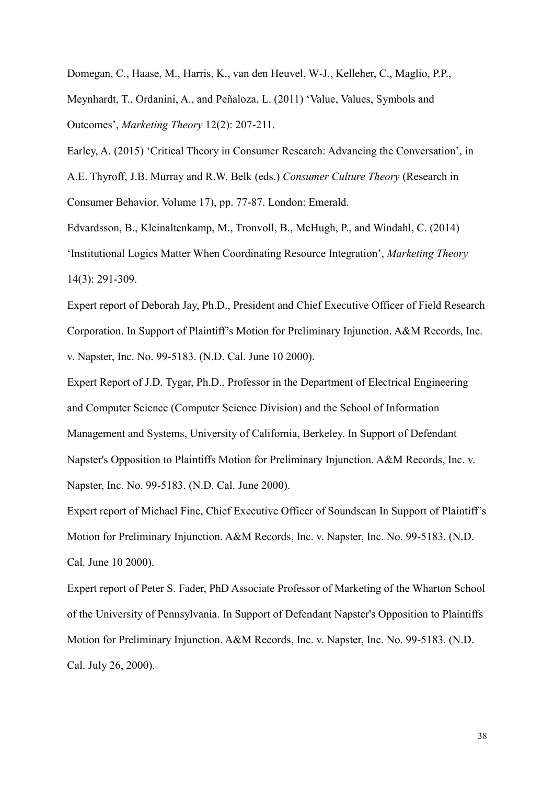Domegan, C., Haase, M., Harris, K., van den Heuvel, W-J., Kelleher, C., Maglio, P.P.,

Meynhardt, T., Ordanini, A., and Peñaloza, L. (2011) 'Value, Values, Symbols and Outcomes', *Marketing Theory* 12(2): 207-211.

Earley, A. (2015) 'Critical Theory in Consumer Research: Advancing the Conversation', in A.E. Thyroff, J.B. Murray and R.W. Belk (eds.) *Consumer Culture Theory* (Research in Consumer Behavior, Volume 17), pp. 77-87. London: Emerald.

Edvardsson, B., Kleinaltenkamp, M., Tronvoll, B., McHugh, P., and Windahl, C. (2014) 'Institutional Logics Matter When Coordinating Resource Integration', *Marketing Theory*  14(3): 291-309.

Expert report of Deborah Jay, Ph.D., President and Chief Executive Officer of Field Research Corporation. In Support of Plaintiff's Motion for Preliminary Injunction. A&M Records, Inc. v. Napster, Inc. No. 99-5183. (N.D. Cal. June 10 2000).

Expert Report of J.D. Tygar, Ph.D., Professor in the Department of Electrical Engineering and Computer Science (Computer Science Division) and the School of Information Management and Systems, University of California, Berkeley. In Support of Defendant Napster's Opposition to Plaintiffs Motion for Preliminary Injunction. A&M Records, Inc. v. Napster, Inc. No. 99-5183. (N.D. Cal. June 2000).

Expert report of Michael Fine, Chief Executive Officer of Soundscan In Support of Plaintiff's Motion for Preliminary Injunction. A&M Records, Inc. v. Napster, Inc. No. 99-5183. (N.D. Cal. June 10 2000).

Expert report of Peter S. Fader, PhD Associate Professor of Marketing of the Wharton School of the University of Pennsylvania. In Support of Defendant Napster's Opposition to Plaintiffs Motion for Preliminary Injunction. A&M Records, Inc. v. Napster, Inc. No. 99-5183. (N.D. Cal. July 26, 2000).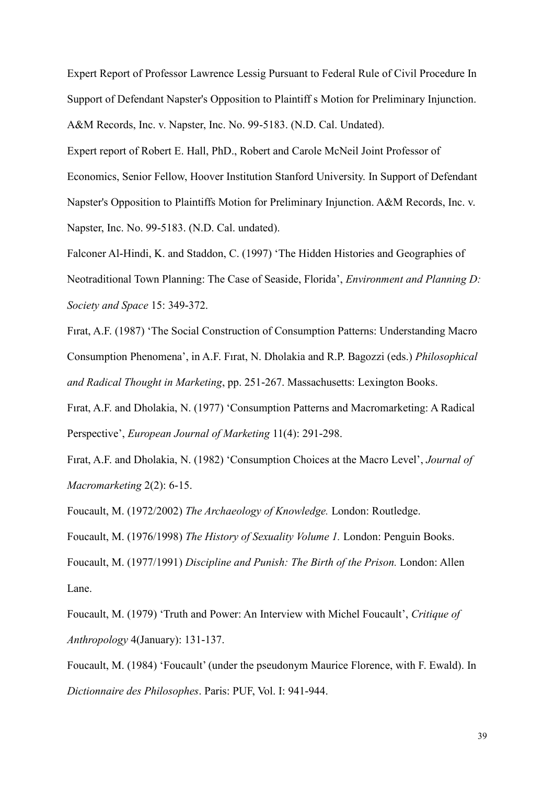Expert Report of Professor Lawrence Lessig Pursuant to Federal Rule of Civil Procedure In Support of Defendant Napster's Opposition to Plaintiff s Motion for Preliminary Injunction. A&M Records, Inc. v. Napster, Inc. No. 99-5183. (N.D. Cal. Undated).

Expert report of Robert E. Hall, PhD., Robert and Carole McNeil Joint Professor of Economics, Senior Fellow, Hoover Institution Stanford University. In Support of Defendant Napster's Opposition to Plaintiffs Motion for Preliminary Injunction. A&M Records, Inc. v. Napster, Inc. No. 99-5183. (N.D. Cal. undated).

Falconer Al-Hindi, K. and Staddon, C. (1997) 'The Hidden Histories and Geographies of Neotraditional Town Planning: The Case of Seaside, Florida', *Environment and Planning D: Society and Space* 15: 349-372.

Fırat, A.F. (1987) 'The Social Construction of Consumption Patterns: Understanding Macro Consumption Phenomena', in A.F. Fırat, N. Dholakia and R.P. Bagozzi (eds.) *Philosophical and Radical Thought in Marketing*, pp. 251-267. Massachusetts: Lexington Books.

Fırat, A.F. and Dholakia, N. (1977) 'Consumption Patterns and Macromarketing: A Radical Perspective', *European Journal of Marketing* 11(4): 291-298.

Fırat, A.F. and Dholakia, N. (1982) 'Consumption Choices at the Macro Level', *Journal of Macromarketing* 2(2): 6-15.

Foucault, M. (1972/2002) *The Archaeology of Knowledge.* London: Routledge.

Foucault, M. (1976/1998) *The History of Sexuality Volume 1.* London: Penguin Books.

Foucault, M. (1977/1991) *Discipline and Punish: The Birth of the Prison.* London: Allen Lane.

Foucault, M. (1979) 'Truth and Power: An Interview with Michel Foucault', *Critique of Anthropology* 4(January): 131-137.

Foucault, M. (1984) 'Foucault' (under the pseudonym Maurice Florence, with F. Ewald). In *Dictionnaire des Philosophes*. Paris: PUF, Vol. I: 941-944.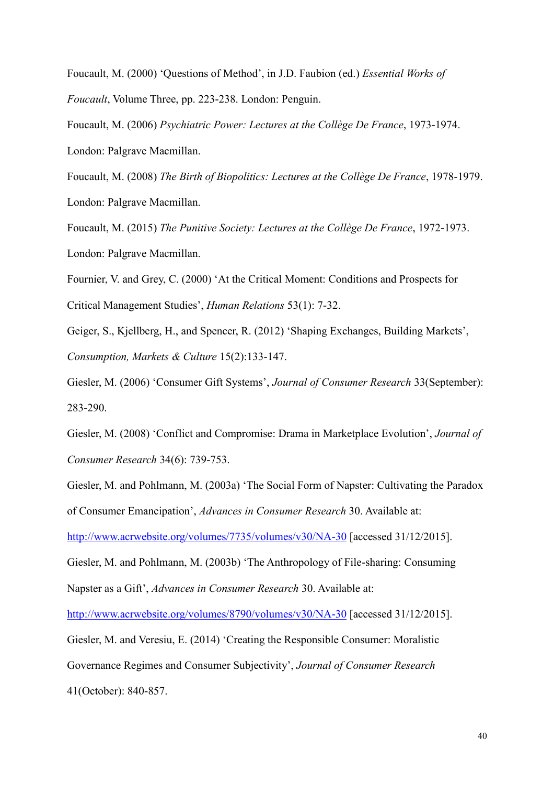Foucault, M. (2000) 'Questions of Method', in J.D. Faubion (ed.) *Essential Works of Foucault*, Volume Three, pp. 223-238. London: Penguin.

Foucault, M. (2006) *Psychiatric Power: Lectures at the Collège De France*, 1973-1974. London: Palgrave Macmillan.

Foucault, M. (2008) *The Birth of Biopolitics: Lectures at the Collège De France*, 1978-1979. London: Palgrave Macmillan.

Foucault, M. (2015) *The Punitive Society: Lectures at the Collège De France*, 1972-1973. London: Palgrave Macmillan.

Fournier, V. and Grey, C. (2000) 'At the Critical Moment: Conditions and Prospects for Critical Management Studies', *Human Relations* 53(1): 7-32.

Geiger, S., Kjellberg, H., and Spencer, R. (2012) 'Shaping Exchanges, Building Markets', *Consumption, Markets & Culture* 15(2):133-147.

Giesler, M. (2006) 'Consumer Gift Systems', *Journal of Consumer Research* 33(September): 283-290.

Giesler, M. (2008) 'Conflict and Compromise: Drama in Marketplace Evolution', *Journal of Consumer Research* 34(6): 739-753.

Giesler, M. and Pohlmann, M. (2003a) 'The Social Form of Napster: Cultivating the Paradox of Consumer Emancipation', *Advances in Consumer Research* 30. Available at:

<http://www.acrwebsite.org/volumes/7735/volumes/v30/NA-30> [accessed 31/12/2015].

Giesler, M. and Pohlmann, M. (2003b) 'The Anthropology of File-sharing: Consuming Napster as a Gift', *Advances in Consumer Research* 30. Available at:

<http://www.acrwebsite.org/volumes/8790/volumes/v30/NA-30> [accessed 31/12/2015].

Giesler, M. and Veresiu, E. (2014) 'Creating the Responsible Consumer: Moralistic

Governance Regimes and Consumer Subjectivity', *Journal of Consumer Research*

41(October): 840-857.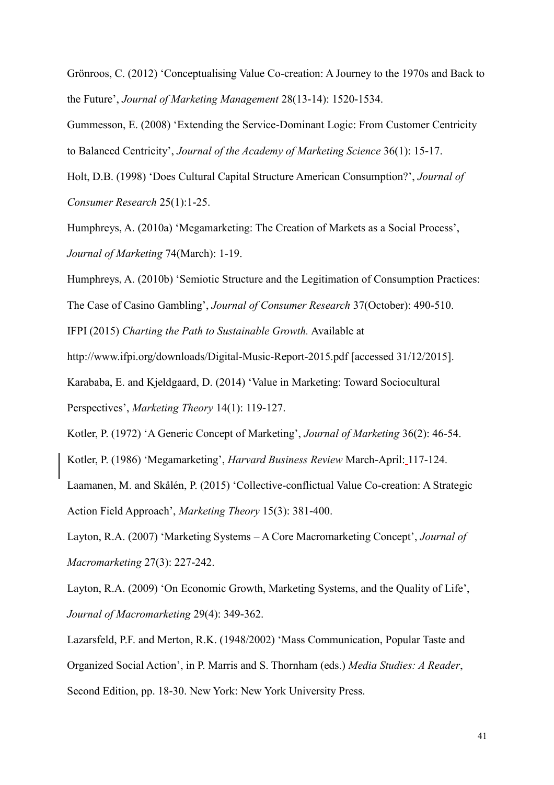Grönroos, C. (2012) 'Conceptualising Value Co-creation: A Journey to the 1970s and Back to the Future', *Journal of Marketing Management* 28(13-14): 1520-1534.

Gummesson, E. (2008) 'Extending the Service-Dominant Logic: From Customer Centricity to Balanced Centricity', *Journal of the Academy of Marketing Science* 36(1): 15-17.

Holt, D.B. (1998) 'Does Cultural Capital Structure American Consumption?', *Journal of Consumer Research* 25(1):1-25.

Humphreys, A. (2010a) 'Megamarketing: The Creation of Markets as a Social Process', *Journal of Marketing* 74(March): 1-19.

Humphreys, A. (2010b) 'Semiotic Structure and the Legitimation of Consumption Practices:

The Case of Casino Gambling', *Journal of Consumer Research* 37(October): 490-510.

IFPI (2015) *Charting the Path to Sustainable Growth.* Available at

http://www.ifpi.org/downloads/Digital-Music-Report-2015.pdf [accessed 31/12/2015].

Karababa, E. and Kjeldgaard, D. (2014) 'Value in Marketing: Toward Sociocultural Perspectives', *Marketing Theory* 14(1): 119-127.

Kotler, P. (1972) 'A Generic Concept of Marketing', *Journal of Marketing* 36(2): 46-54.

Kotler, P. (1986) 'Megamarketing', *Harvard Business Review* March-April: 117-124.

Laamanen, M. and Skålén, P. (2015) 'Collective-conflictual Value Co-creation: A Strategic Action Field Approach', *Marketing Theory* 15(3): 381-400.

Layton, R.A. (2007) 'Marketing Systems – A Core Macromarketing Concept', *Journal of Macromarketing* 27(3): 227-242.

Layton, R.A. (2009) 'On Economic Growth, Marketing Systems, and the Quality of Life', *Journal of Macromarketing* 29(4): 349-362.

Lazarsfeld, P.F. and Merton, R.K. (1948/2002) 'Mass Communication, Popular Taste and Organized Social Action', in P. Marris and S. Thornham (eds.) *Media Studies: A Reader*, Second Edition, pp. 18-30. New York: New York University Press.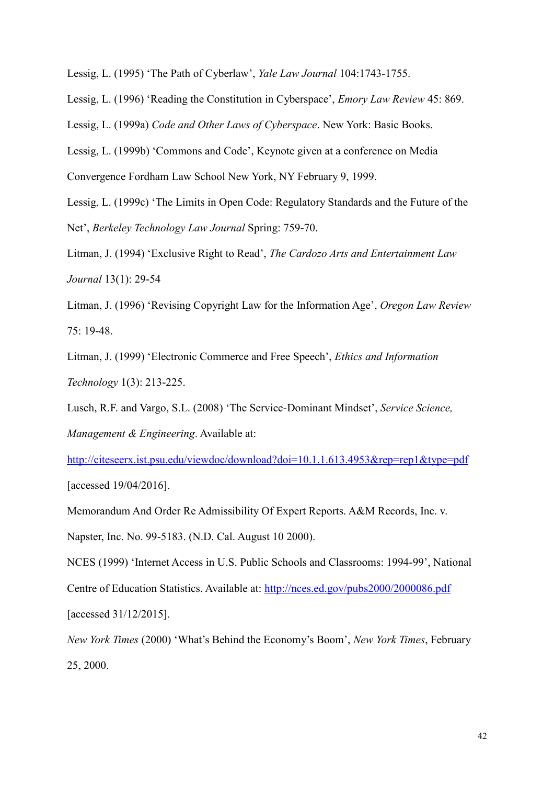Lessig, L. (1995) 'The Path of Cyberlaw', *Yale Law Journal* 104:1743-1755.

Lessig, L. (1996) 'Reading the Constitution in Cyberspace', *Emory Law Review* 45: 869.

Lessig, L. (1999a) *Code and Other Laws of Cyberspace*. New York: Basic Books.

Lessig, L. (1999b) 'Commons and Code', Keynote given at a conference on Media Convergence Fordham Law School New York, NY February 9, 1999.

Lessig, L. (1999c) 'The Limits in Open Code: Regulatory Standards and the Future of the Net', *Berkeley Technology Law Journal* Spring: 759-70.

Litman, J. (1994) 'Exclusive Right to Read', *The Cardozo Arts and Entertainment Law Journal* 13(1): 29-54

Litman, J. (1996) 'Revising Copyright Law for the Information Age', *Oregon Law Review* 75: 19-48.

Litman, J. (1999) 'Electronic Commerce and Free Speech', *Ethics and Information Technology* 1(3): 213-225.

Lusch, R.F. and Vargo, S.L. (2008) 'The Service-Dominant Mindset', *Service Science, Management & Engineering*. Available at:

<http://citeseerx.ist.psu.edu/viewdoc/download?doi=10.1.1.613.4953&rep=rep1&type=pdf> [accessed 19/04/2016].

Memorandum And Order Re Admissibility Of Expert Reports. A&M Records, Inc. v.

Napster, Inc. No. 99-5183. (N.D. Cal. August 10 2000).

NCES (1999) 'Internet Access in U.S. Public Schools and Classrooms: 1994-99', National Centre of Education Statistics. Available at:<http://nces.ed.gov/pubs2000/2000086.pdf> [accessed 31/12/2015].

*New York Times* (2000) 'What's Behind the Economy's Boom', *New York Times*, February 25, 2000.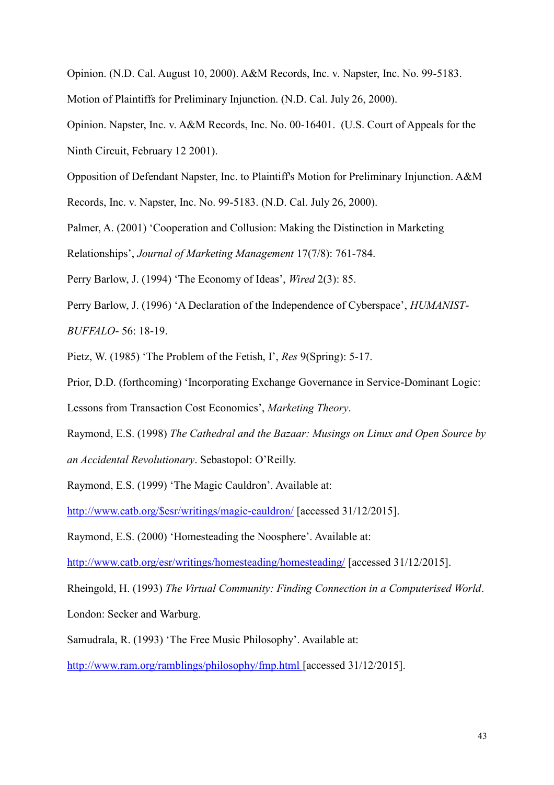Opinion. (N.D. Cal. August 10, 2000). A&M Records, Inc. v. Napster, Inc. No. 99-5183.

Motion of Plaintiffs for Preliminary Injunction. (N.D. Cal. July 26, 2000).

Opinion. Napster, Inc. v. A&M Records, Inc. No. 00-16401. (U.S. Court of Appeals for the Ninth Circuit, February 12 2001).

Opposition of Defendant Napster, Inc. to Plaintiff's Motion for Preliminary Injunction. A&M

Records, Inc. v. Napster, Inc. No. 99-5183. (N.D. Cal. July 26, 2000).

Palmer, A. (2001) 'Cooperation and Collusion: Making the Distinction in Marketing

Relationships', *Journal of Marketing Management* 17(7/8): 761-784.

Perry Barlow, J. (1994) 'The Economy of Ideas', *Wired* 2(3): 85.

Perry Barlow, J. (1996) 'A Declaration of the Independence of Cyberspace', *HUMANIST-BUFFALO-* 56: 18-19.

Pietz, W. (1985) 'The Problem of the Fetish, I', *Res* 9(Spring): 5-17.

Prior, D.D. (forthcoming) 'Incorporating Exchange Governance in Service-Dominant Logic:

Lessons from Transaction Cost Economics', *Marketing Theory*.

Raymond, E.S. (1998) *The Cathedral and the Bazaar: Musings on Linux and Open Source by an Accidental Revolutionary*. Sebastopol: O'Reilly.

Raymond, E.S. (1999) 'The Magic Cauldron'. Available at:

[http://www.catb.org/\\$esr/writings/magic-cauldron/](http://www.catb.org/$esr/writings/magic-cauldron/) [accessed 31/12/2015].

Raymond, E.S. (2000) 'Homesteading the Noosphere'. Available at:

<http://www.catb.org/esr/writings/homesteading/homesteading/> [accessed 31/12/2015].

Rheingold, H. (1993) *The Virtual Community: Finding Connection in a Computerised World*.

London: Secker and Warburg.

Samudrala, R. (1993) 'The Free Music Philosophy'. Available at:

<http://www.ram.org/ramblings/philosophy/fmp.html> [accessed 31/12/2015].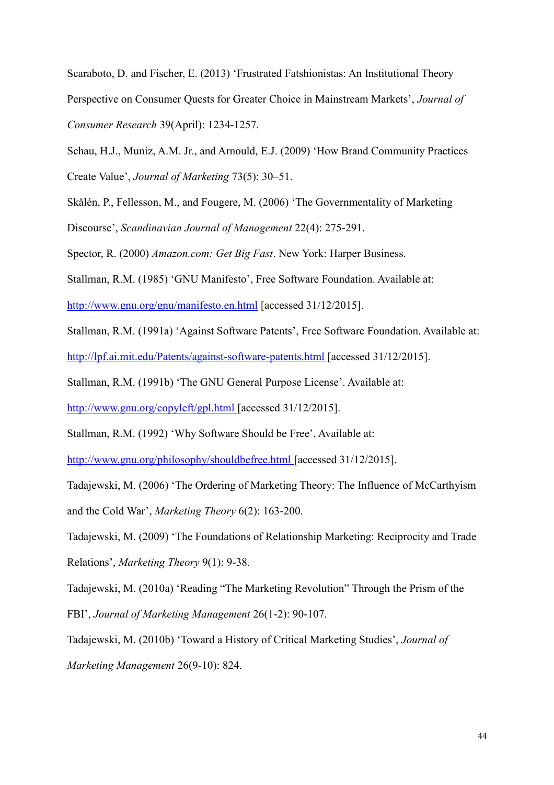Scaraboto, D. and Fischer, E. (2013) 'Frustrated Fatshionistas: An Institutional Theory Perspective on Consumer Quests for Greater Choice in Mainstream Markets', *Journal of Consumer Research* 39(April): 1234-1257.

Schau, H.J., Muniz, A.M. Jr., and Arnould, E.J. (2009) 'How Brand Community Practices Create Value', *Journal of Marketing* 73(5): 30–51.

Skålén, P., Fellesson, M., and Fougere, M. (2006) 'The Governmentality of Marketing Discourse', *Scandinavian Journal of Management* 22(4): 275-291.

Spector, R. (2000) *Amazon.com: Get Big Fast*. New York: Harper Business.

Stallman, R.M. (1985) 'GNU Manifesto', Free Software Foundation. Available at:

<http://www.gnu.org/gnu/manifesto.en.html> [accessed 31/12/2015].

Stallman, R.M. (1991a) 'Against Software Patents', Free Software Foundation. Available at: <http://lpf.ai.mit.edu/Patents/against-software-patents.html> [accessed 31/12/2015].

Stallman, R.M. (1991b) 'The GNU General Purpose License'. Available at:

<http://www.gnu.org/copyleft/gpl.html> [accessed 31/12/2015].

Stallman, R.M. (1992) 'Why Software Should be Free'. Available at:

<http://www.gnu.org/philosophy/shouldbefree.html> [accessed 31/12/2015].

Tadajewski, M. (2006) 'The Ordering of Marketing Theory: The Influence of McCarthyism and the Cold War', *Marketing Theory* 6(2): 163-200.

Tadajewski, M. (2009) 'The Foundations of Relationship Marketing: Reciprocity and Trade Relations', *Marketing Theory* 9(1): 9-38.

Tadajewski, M. (2010a) 'Reading "The Marketing Revolution" Through the Prism of the FBI', *Journal of Marketing Management* 26(1-2): 90-107.

Tadajewski, M. (2010b) 'Toward a History of Critical Marketing Studies', *Journal of Marketing Management* 26(9-10): 824.